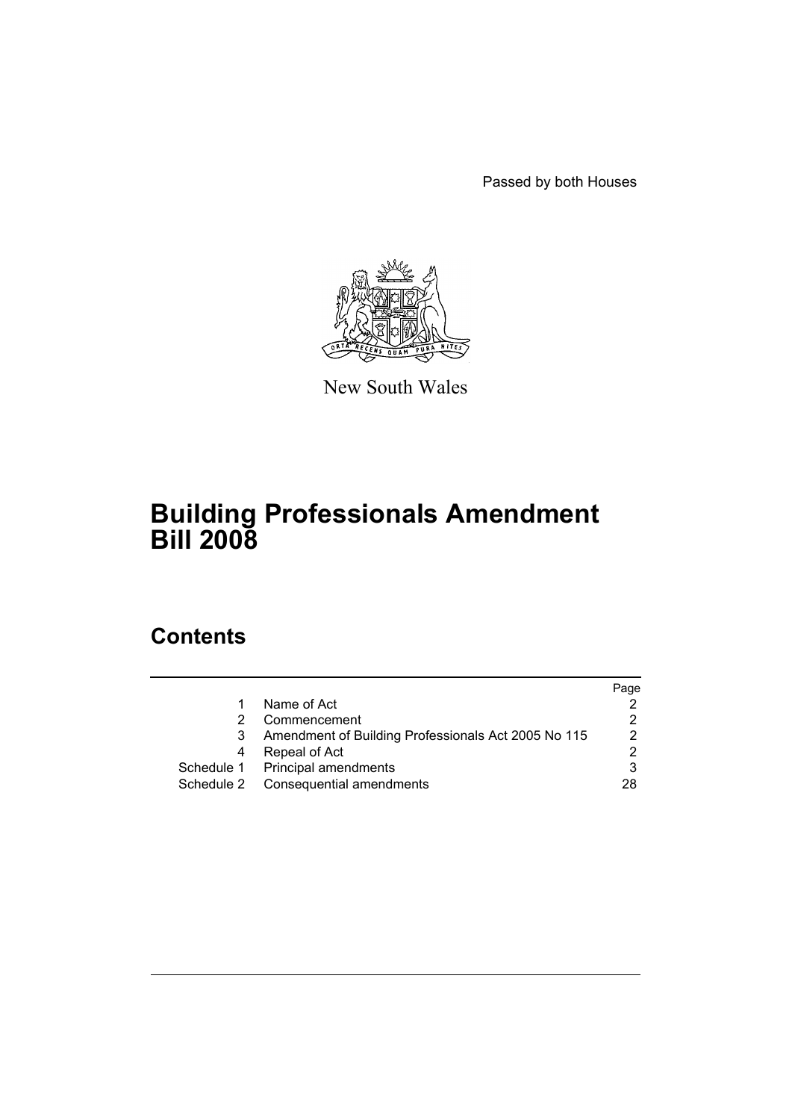Passed by both Houses



New South Wales

# **Building Professionals Amendment Bill 2008**

# **Contents**

|            |                                                     | Page |
|------------|-----------------------------------------------------|------|
|            | Name of Act                                         |      |
| 2          | Commencement                                        | 2    |
| 3          | Amendment of Building Professionals Act 2005 No 115 | 2    |
| 4          | Repeal of Act                                       | າ    |
|            | Schedule 1 Principal amendments                     | 3    |
| Schedule 2 | Consequential amendments                            | 28   |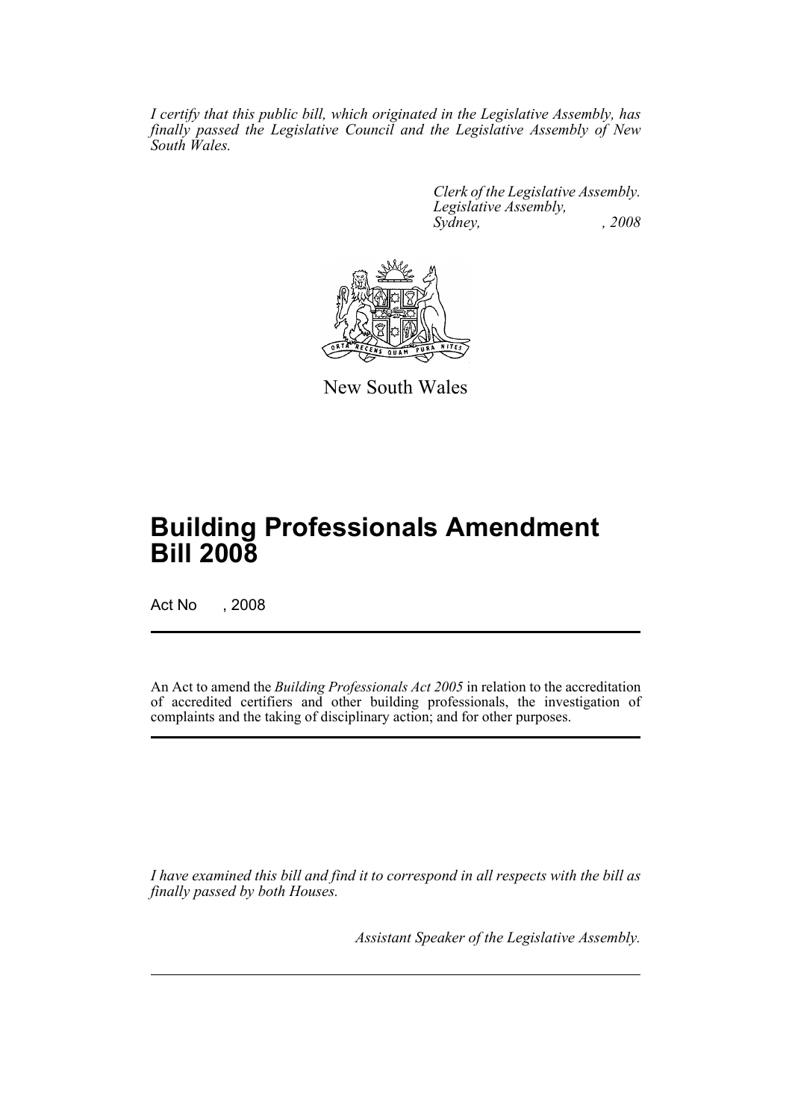*I certify that this public bill, which originated in the Legislative Assembly, has finally passed the Legislative Council and the Legislative Assembly of New South Wales.*

> *Clerk of the Legislative Assembly. Legislative Assembly, Sydney, , 2008*



New South Wales

# **Building Professionals Amendment Bill 2008**

Act No , 2008

An Act to amend the *Building Professionals Act 2005* in relation to the accreditation of accredited certifiers and other building professionals, the investigation of complaints and the taking of disciplinary action; and for other purposes.

*I have examined this bill and find it to correspond in all respects with the bill as finally passed by both Houses.*

*Assistant Speaker of the Legislative Assembly.*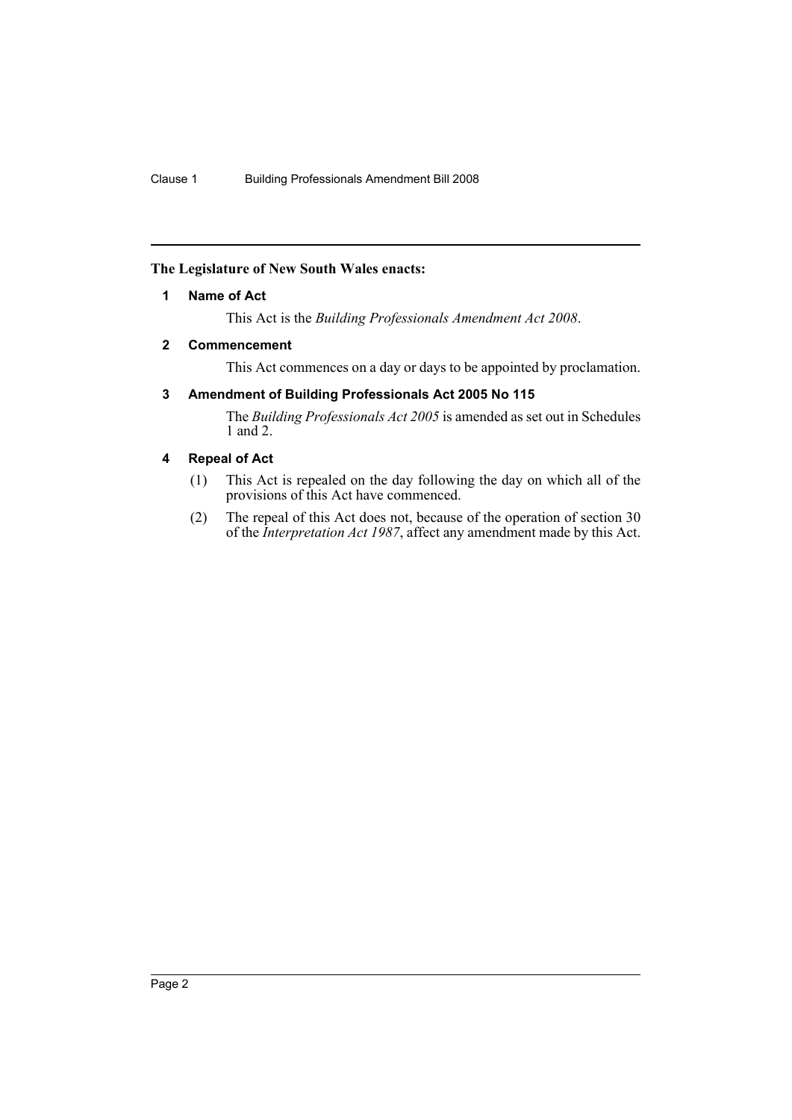### <span id="page-2-0"></span>**The Legislature of New South Wales enacts:**

### **1 Name of Act**

This Act is the *Building Professionals Amendment Act 2008*.

### <span id="page-2-1"></span>**2 Commencement**

This Act commences on a day or days to be appointed by proclamation.

### <span id="page-2-2"></span>**3 Amendment of Building Professionals Act 2005 No 115**

The *Building Professionals Act 2005* is amended as set out in Schedules 1 and 2.

### <span id="page-2-3"></span>**4 Repeal of Act**

- (1) This Act is repealed on the day following the day on which all of the provisions of this Act have commenced.
- (2) The repeal of this Act does not, because of the operation of section 30 of the *Interpretation Act 1987*, affect any amendment made by this Act.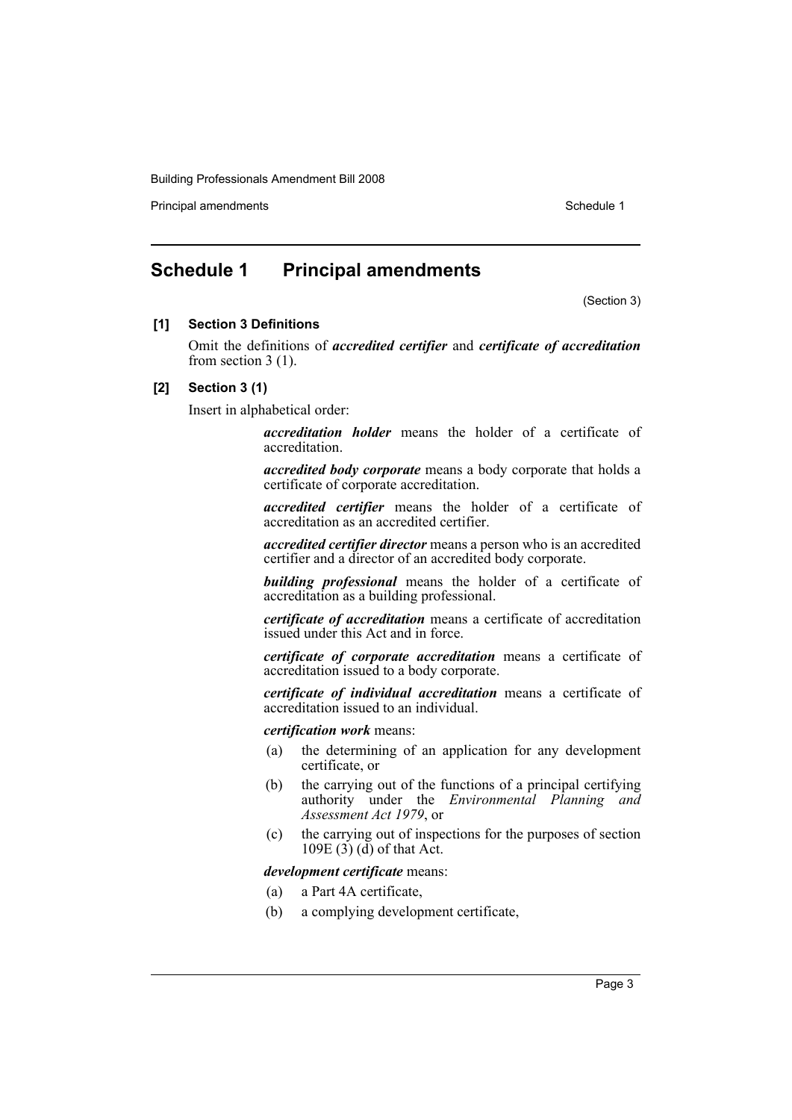Principal amendments **Schedule 1** and the set of the set of the Schedule 1 and the Schedule 1

## <span id="page-3-0"></span>**Schedule 1 Principal amendments**

(Section 3)

### **[1] Section 3 Definitions**

Omit the definitions of *accredited certifier* and *certificate of accreditation* from section 3 (1).

### **[2] Section 3 (1)**

Insert in alphabetical order:

*accreditation holder* means the holder of a certificate of accreditation.

*accredited body corporate* means a body corporate that holds a certificate of corporate accreditation.

*accredited certifier* means the holder of a certificate of accreditation as an accredited certifier.

*accredited certifier director* means a person who is an accredited certifier and a director of an accredited body corporate.

*building professional* means the holder of a certificate of accreditation as a building professional.

*certificate of accreditation* means a certificate of accreditation issued under this Act and in force.

*certificate of corporate accreditation* means a certificate of accreditation issued to a body corporate.

*certificate of individual accreditation* means a certificate of accreditation issued to an individual.

*certification work* means:

- (a) the determining of an application for any development certificate, or
- (b) the carrying out of the functions of a principal certifying authority under the *Environmental Planning and Assessment Act 1979*, or
- (c) the carrying out of inspections for the purposes of section 109E  $(3)$   $(d)$  of that Act.

*development certificate* means:

- (a) a Part 4A certificate,
- (b) a complying development certificate,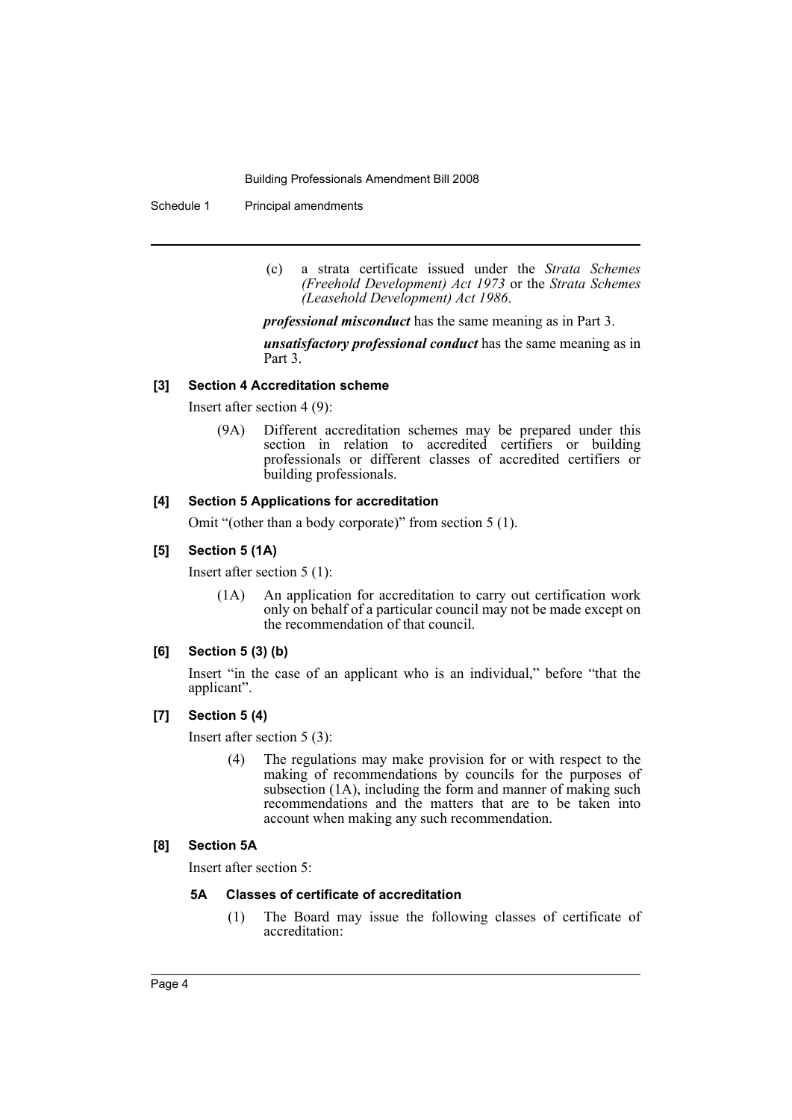Schedule 1 Principal amendments

(c) a strata certificate issued under the *Strata Schemes (Freehold Development) Act 1973* or the *Strata Schemes (Leasehold Development) Act 1986*.

*professional misconduct* has the same meaning as in Part 3.

*unsatisfactory professional conduct* has the same meaning as in Part 3.

#### **[3] Section 4 Accreditation scheme**

Insert after section 4 (9):

(9A) Different accreditation schemes may be prepared under this section in relation to accredited certifiers or building professionals or different classes of accredited certifiers or building professionals.

### **[4] Section 5 Applications for accreditation**

Omit "(other than a body corporate)" from section 5 (1).

### **[5] Section 5 (1A)**

Insert after section 5 (1):

(1A) An application for accreditation to carry out certification work only on behalf of a particular council may not be made except on the recommendation of that council.

### **[6] Section 5 (3) (b)**

Insert "in the case of an applicant who is an individual," before "that the applicant".

### **[7] Section 5 (4)**

Insert after section 5 (3):

(4) The regulations may make provision for or with respect to the making of recommendations by councils for the purposes of subsection (1A), including the form and manner of making such recommendations and the matters that are to be taken into account when making any such recommendation.

### **[8] Section 5A**

Insert after section 5:

### **5A Classes of certificate of accreditation**

(1) The Board may issue the following classes of certificate of accreditation: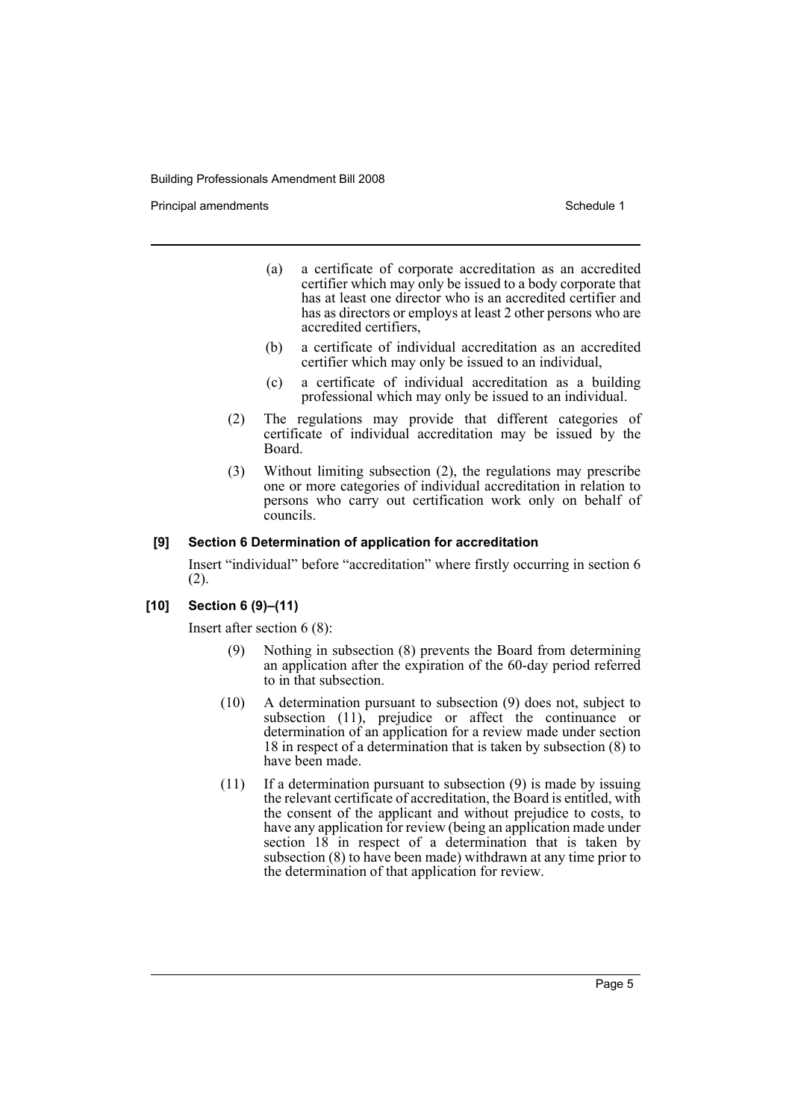Principal amendments **Schedule 1** and the set of the set of the Schedule 1 and the Schedule 1

- (a) a certificate of corporate accreditation as an accredited certifier which may only be issued to a body corporate that has at least one director who is an accredited certifier and has as directors or employs at least 2 other persons who are accredited certifiers,
- (b) a certificate of individual accreditation as an accredited certifier which may only be issued to an individual,
- (c) a certificate of individual accreditation as a building professional which may only be issued to an individual.
- (2) The regulations may provide that different categories of certificate of individual accreditation may be issued by the Board.
- (3) Without limiting subsection (2), the regulations may prescribe one or more categories of individual accreditation in relation to persons who carry out certification work only on behalf of councils.

### **[9] Section 6 Determination of application for accreditation**

Insert "individual" before "accreditation" where firstly occurring in section 6 (2).

### **[10] Section 6 (9)–(11)**

Insert after section 6 (8):

- (9) Nothing in subsection (8) prevents the Board from determining an application after the expiration of the 60-day period referred to in that subsection.
- (10) A determination pursuant to subsection (9) does not, subject to subsection (11), prejudice or affect the continuance or determination of an application for a review made under section 18 in respect of a determination that is taken by subsection (8) to have been made.
- (11) If a determination pursuant to subsection (9) is made by issuing the relevant certificate of accreditation, the Board is entitled, with the consent of the applicant and without prejudice to costs, to have any application for review (being an application made under section  $18$  in respect of a determination that is taken by subsection (8) to have been made) withdrawn at any time prior to the determination of that application for review.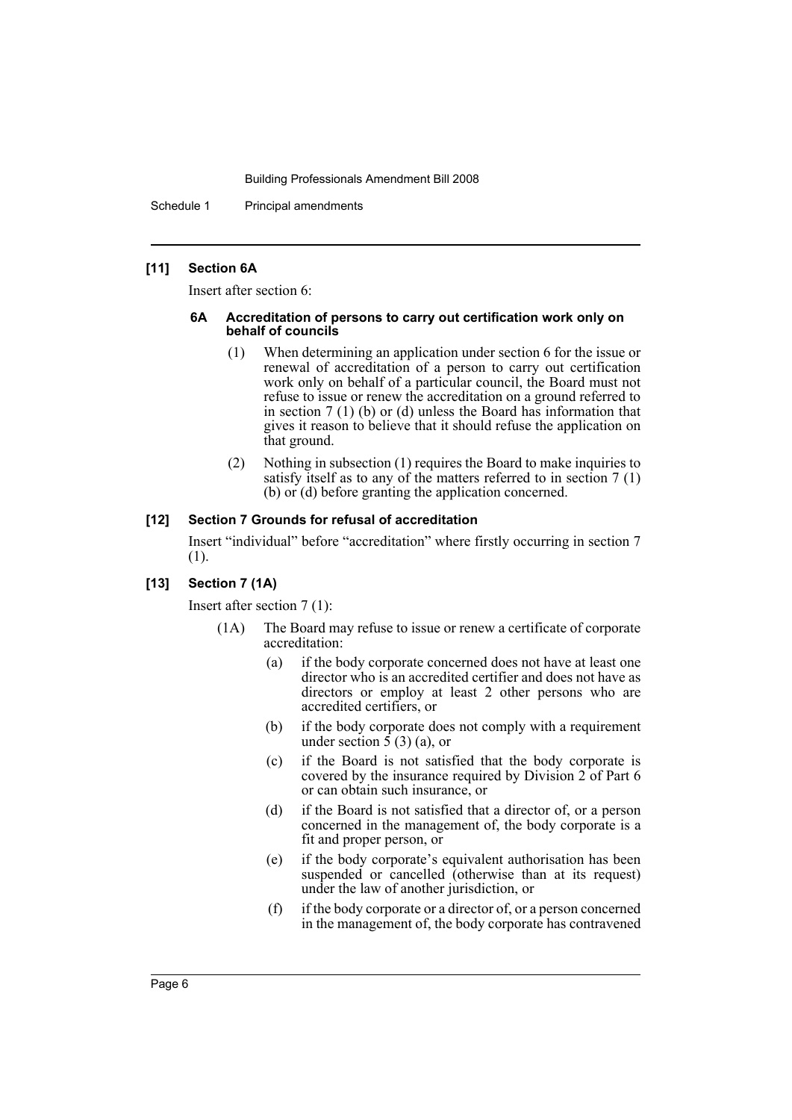Schedule 1 Principal amendments

### **[11] Section 6A**

Insert after section 6:

#### **6A Accreditation of persons to carry out certification work only on behalf of councils**

- (1) When determining an application under section 6 for the issue or renewal of accreditation of a person to carry out certification work only on behalf of a particular council, the Board must not refuse to issue or renew the accreditation on a ground referred to in section 7 (1) (b) or (d) unless the Board has information that gives it reason to believe that it should refuse the application on that ground.
- (2) Nothing in subsection (1) requires the Board to make inquiries to satisfy itself as to any of the matters referred to in section 7 (1) (b) or (d) before granting the application concerned.

### **[12] Section 7 Grounds for refusal of accreditation**

Insert "individual" before "accreditation" where firstly occurring in section 7 (1).

### **[13] Section 7 (1A)**

Insert after section 7 (1):

- (1A) The Board may refuse to issue or renew a certificate of corporate accreditation:
	- (a) if the body corporate concerned does not have at least one director who is an accredited certifier and does not have as directors or employ at least 2 other persons who are accredited certifiers, or
	- (b) if the body corporate does not comply with a requirement under section  $\hat{5}(3)(a)$ , or
	- (c) if the Board is not satisfied that the body corporate is covered by the insurance required by Division 2 of Part 6 or can obtain such insurance, or
	- (d) if the Board is not satisfied that a director of, or a person concerned in the management of, the body corporate is a fit and proper person, or
	- (e) if the body corporate's equivalent authorisation has been suspended or cancelled (otherwise than at its request) under the law of another jurisdiction, or
	- (f) if the body corporate or a director of, or a person concerned in the management of, the body corporate has contravened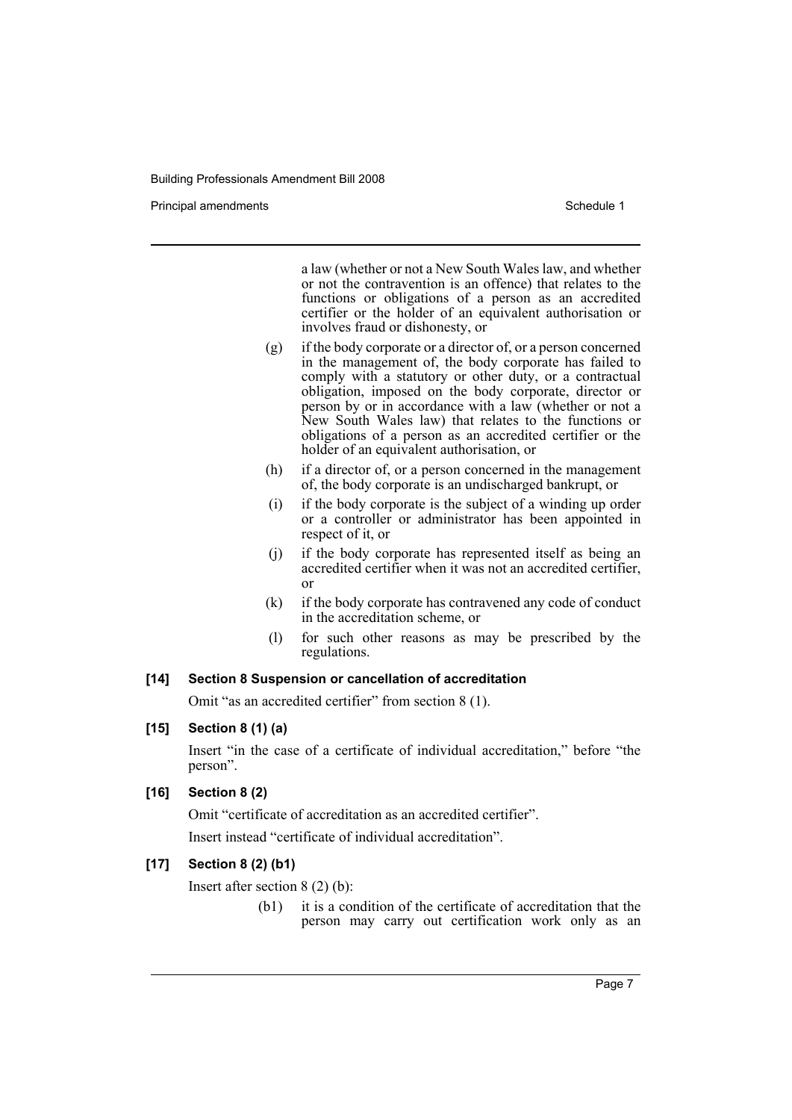Principal amendments **Schedule 1** and the set of the set of the Schedule 1 and the Schedule 1

a law (whether or not a New South Wales law, and whether or not the contravention is an offence) that relates to the functions or obligations of a person as an accredited certifier or the holder of an equivalent authorisation or involves fraud or dishonesty, or

- (g) if the body corporate or a director of, or a person concerned in the management of, the body corporate has failed to comply with a statutory or other duty, or a contractual obligation, imposed on the body corporate, director or person by or in accordance with a law (whether or not a New South Wales law) that relates to the functions or obligations of a person as an accredited certifier or the holder of an equivalent authorisation, or
- (h) if a director of, or a person concerned in the management of, the body corporate is an undischarged bankrupt, or
- (i) if the body corporate is the subject of a winding up order or a controller or administrator has been appointed in respect of it, or
- (j) if the body corporate has represented itself as being an accredited certifier when it was not an accredited certifier, or
- (k) if the body corporate has contravened any code of conduct in the accreditation scheme, or
- (l) for such other reasons as may be prescribed by the regulations.

### **[14] Section 8 Suspension or cancellation of accreditation**

Omit "as an accredited certifier" from section 8 (1).

### **[15] Section 8 (1) (a)**

Insert "in the case of a certificate of individual accreditation," before "the person".

### **[16] Section 8 (2)**

Omit "certificate of accreditation as an accredited certifier".

Insert instead "certificate of individual accreditation".

### **[17] Section 8 (2) (b1)**

Insert after section 8 (2) (b):

(b1) it is a condition of the certificate of accreditation that the person may carry out certification work only as an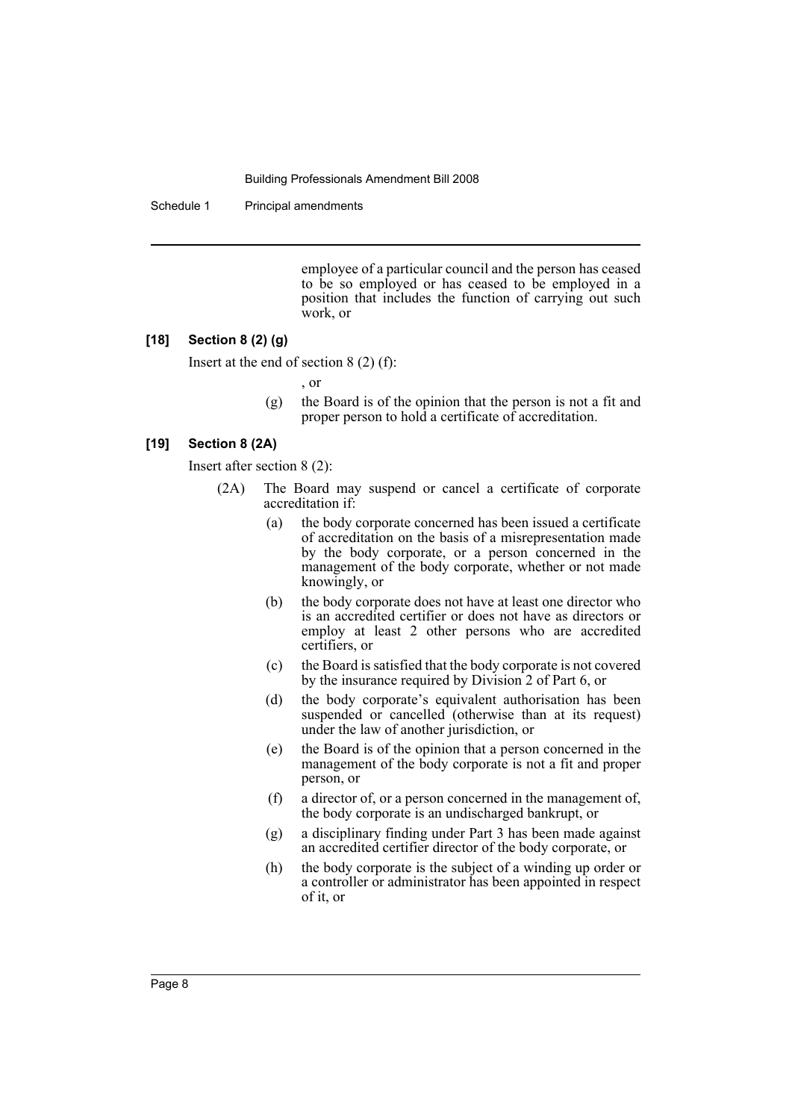Schedule 1 Principal amendments

employee of a particular council and the person has ceased to be so employed or has ceased to be employed in a position that includes the function of carrying out such work, or

### **[18] Section 8 (2) (g)**

Insert at the end of section 8 (2) (f):

, or

(g) the Board is of the opinion that the person is not a fit and proper person to hold a certificate of accreditation.

### **[19] Section 8 (2A)**

Insert after section 8 (2):

- (2A) The Board may suspend or cancel a certificate of corporate accreditation if:
	- (a) the body corporate concerned has been issued a certificate of accreditation on the basis of a misrepresentation made by the body corporate, or a person concerned in the management of the body corporate, whether or not made knowingly, or
	- (b) the body corporate does not have at least one director who is an accredited certifier or does not have as directors or employ at least 2 other persons who are accredited certifiers, or
	- (c) the Board is satisfied that the body corporate is not covered by the insurance required by Division 2 of Part 6, or
	- (d) the body corporate's equivalent authorisation has been suspended or cancelled (otherwise than at its request) under the law of another jurisdiction, or
	- (e) the Board is of the opinion that a person concerned in the management of the body corporate is not a fit and proper person, or
	- (f) a director of, or a person concerned in the management of, the body corporate is an undischarged bankrupt, or
	- (g) a disciplinary finding under Part 3 has been made against an accredited certifier director of the body corporate, or
	- (h) the body corporate is the subject of a winding up order or a controller or administrator has been appointed in respect of it, or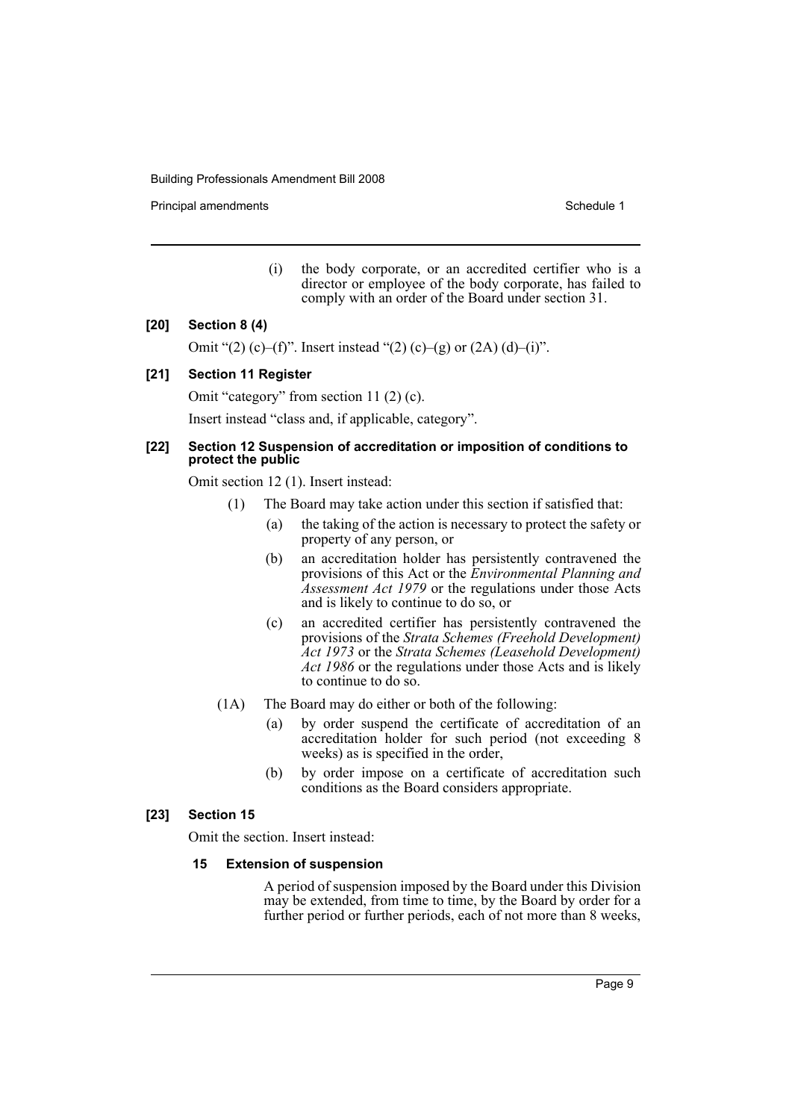Principal amendments **Schedule 1** and the set of the set of the Schedule 1 and the Schedule 1

(i) the body corporate, or an accredited certifier who is a director or employee of the body corporate, has failed to comply with an order of the Board under section 31.

### **[20] Section 8 (4)**

Omit "(2) (c)–(f)". Insert instead "(2) (c)–(g) or  $(2A)$  (d)–(i)".

### **[21] Section 11 Register**

Omit "category" from section 11 (2) (c). Insert instead "class and, if applicable, category".

#### **[22] Section 12 Suspension of accreditation or imposition of conditions to protect the public**

Omit section 12 (1). Insert instead:

- (1) The Board may take action under this section if satisfied that:
	- (a) the taking of the action is necessary to protect the safety or property of any person, or
	- (b) an accreditation holder has persistently contravened the provisions of this Act or the *Environmental Planning and Assessment Act 1979* or the regulations under those Acts and is likely to continue to do so, or
	- (c) an accredited certifier has persistently contravened the provisions of the *Strata Schemes (Freehold Development) Act 1973* or the *Strata Schemes (Leasehold Development) Act 1986* or the regulations under those Acts and is likely to continue to do so.
- (1A) The Board may do either or both of the following:
	- (a) by order suspend the certificate of accreditation of an accreditation holder for such period (not exceeding 8 weeks) as is specified in the order,
	- (b) by order impose on a certificate of accreditation such conditions as the Board considers appropriate.

### **[23] Section 15**

Omit the section. Insert instead:

#### **15 Extension of suspension**

A period of suspension imposed by the Board under this Division may be extended, from time to time, by the Board by order for a further period or further periods, each of not more than 8 weeks,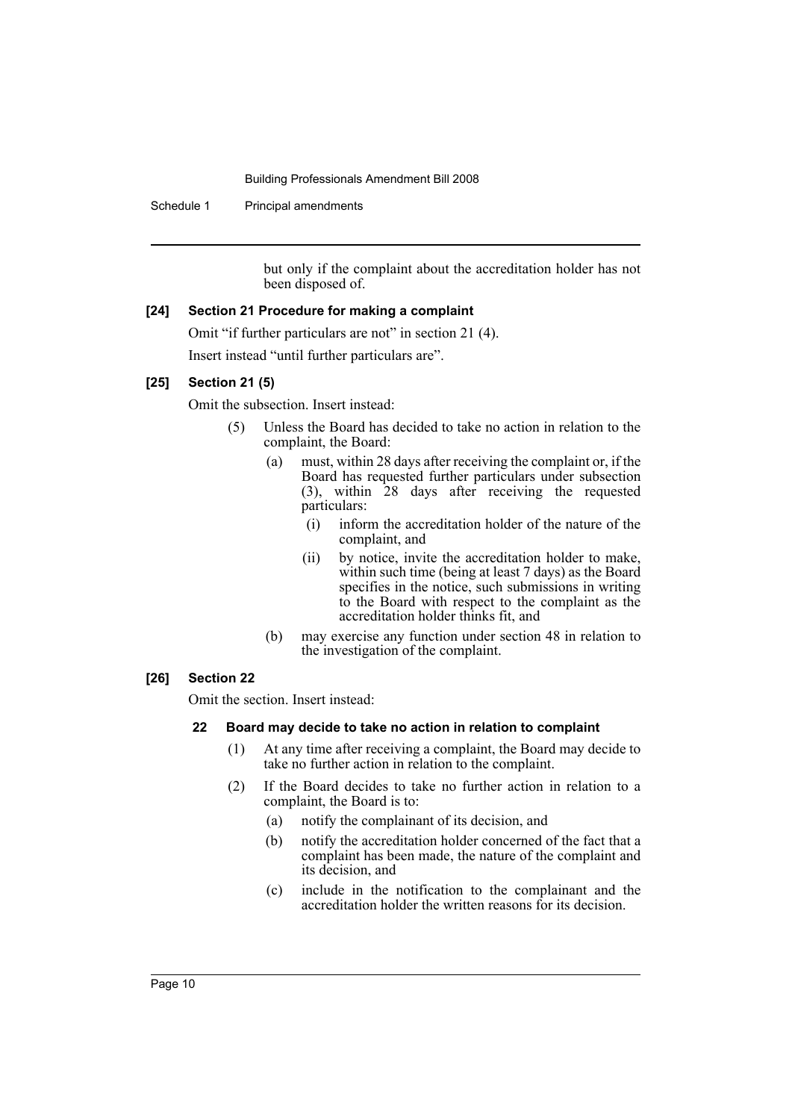Schedule 1 Principal amendments

but only if the complaint about the accreditation holder has not been disposed of.

### **[24] Section 21 Procedure for making a complaint**

Omit "if further particulars are not" in section 21 (4). Insert instead "until further particulars are".

### **[25] Section 21 (5)**

Omit the subsection. Insert instead:

- (5) Unless the Board has decided to take no action in relation to the complaint, the Board:
	- (a) must, within 28 days after receiving the complaint or, if the Board has requested further particulars under subsection (3), within 28 days after receiving the requested particulars:
		- (i) inform the accreditation holder of the nature of the complaint, and
		- (ii) by notice, invite the accreditation holder to make, within such time (being at least 7 days) as the Board specifies in the notice, such submissions in writing to the Board with respect to the complaint as the accreditation holder thinks fit, and
	- (b) may exercise any function under section 48 in relation to the investigation of the complaint.

### **[26] Section 22**

Omit the section. Insert instead:

### **22 Board may decide to take no action in relation to complaint**

- (1) At any time after receiving a complaint, the Board may decide to take no further action in relation to the complaint.
- (2) If the Board decides to take no further action in relation to a complaint, the Board is to:
	- (a) notify the complainant of its decision, and
	- (b) notify the accreditation holder concerned of the fact that a complaint has been made, the nature of the complaint and its decision, and
	- (c) include in the notification to the complainant and the accreditation holder the written reasons for its decision.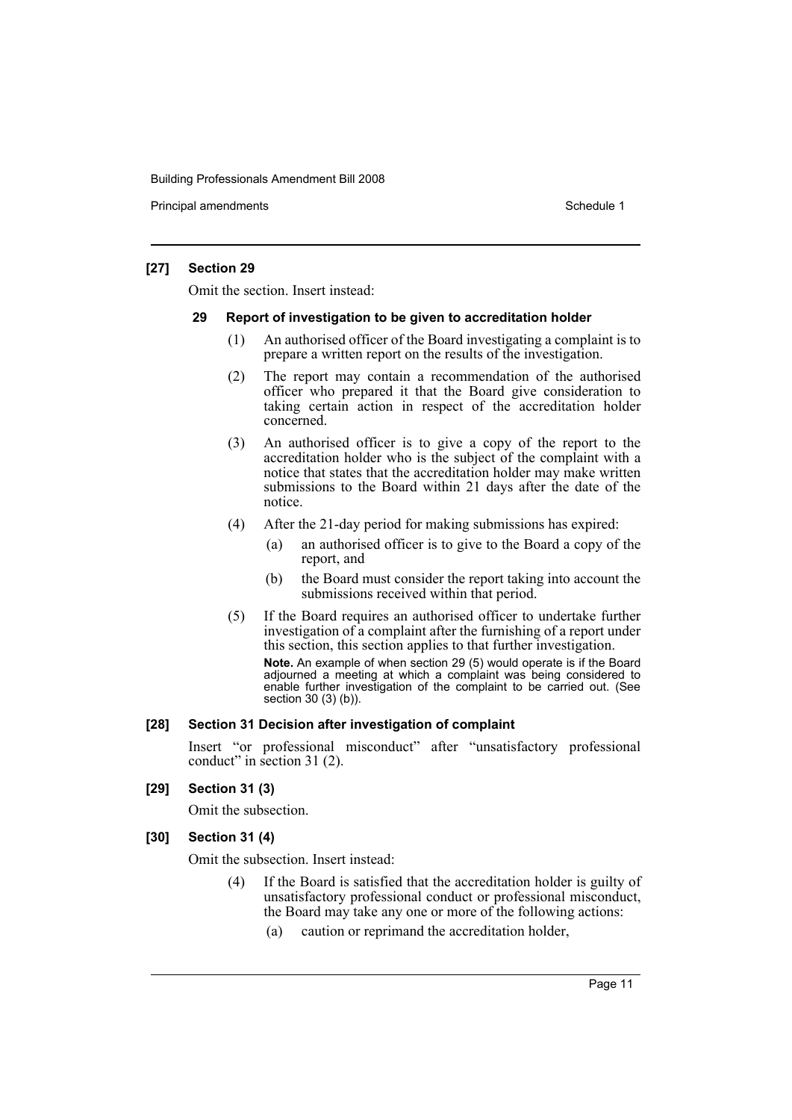Principal amendments **Schedule 1** and the set of the set of the Schedule 1 and the Schedule 1

### **[27] Section 29**

Omit the section. Insert instead:

#### **29 Report of investigation to be given to accreditation holder**

- (1) An authorised officer of the Board investigating a complaint is to prepare a written report on the results of the investigation.
- (2) The report may contain a recommendation of the authorised officer who prepared it that the Board give consideration to taking certain action in respect of the accreditation holder concerned.
- (3) An authorised officer is to give a copy of the report to the accreditation holder who is the subject of the complaint with a notice that states that the accreditation holder may make written submissions to the Board within 21 days after the date of the notice.
- (4) After the 21-day period for making submissions has expired:
	- (a) an authorised officer is to give to the Board a copy of the report, and
	- (b) the Board must consider the report taking into account the submissions received within that period.
- (5) If the Board requires an authorised officer to undertake further investigation of a complaint after the furnishing of a report under this section, this section applies to that further investigation.

**Note.** An example of when section 29 (5) would operate is if the Board adjourned a meeting at which a complaint was being considered to enable further investigation of the complaint to be carried out. (See section 30 (3) (b)).

### **[28] Section 31 Decision after investigation of complaint**

Insert "or professional misconduct" after "unsatisfactory professional conduct" in section 31 (2).

**[29] Section 31 (3)**

Omit the subsection.

### **[30] Section 31 (4)**

Omit the subsection. Insert instead:

- (4) If the Board is satisfied that the accreditation holder is guilty of unsatisfactory professional conduct or professional misconduct, the Board may take any one or more of the following actions:
	- (a) caution or reprimand the accreditation holder,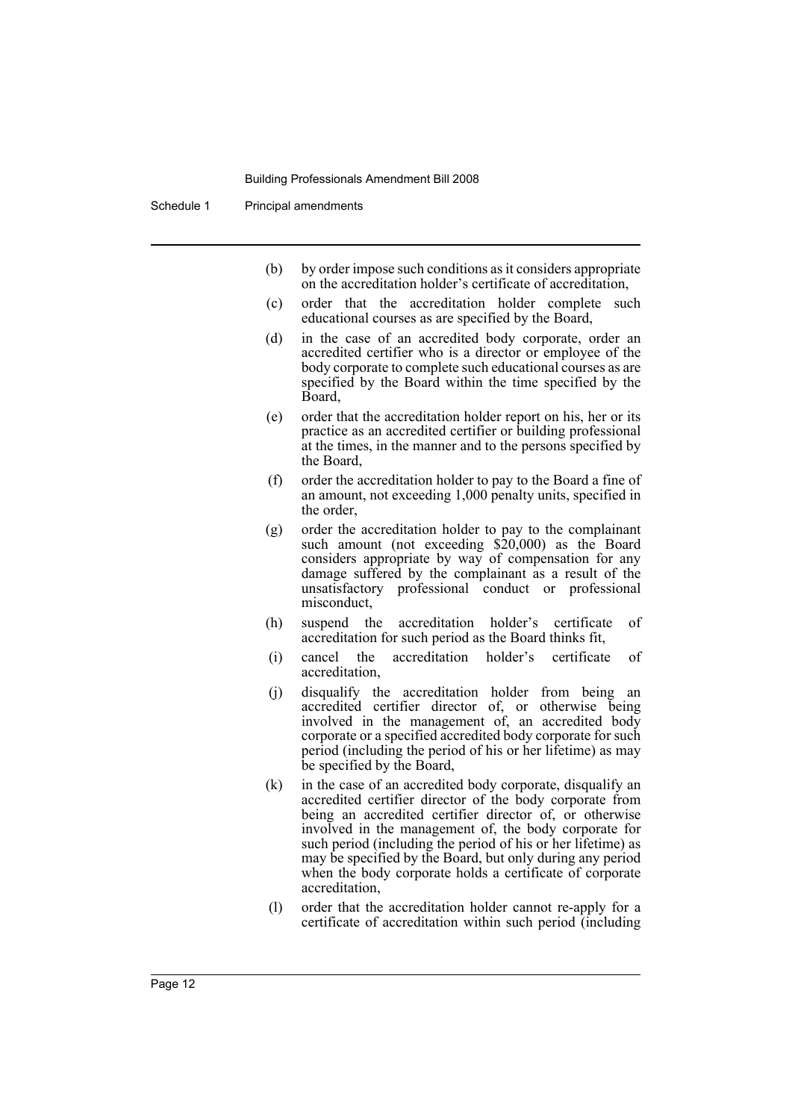Schedule 1 Principal amendments

- (b) by order impose such conditions as it considers appropriate on the accreditation holder's certificate of accreditation,
- (c) order that the accreditation holder complete such educational courses as are specified by the Board,
- (d) in the case of an accredited body corporate, order an accredited certifier who is a director or employee of the body corporate to complete such educational courses as are specified by the Board within the time specified by the Board,
- (e) order that the accreditation holder report on his, her or its practice as an accredited certifier or building professional at the times, in the manner and to the persons specified by the Board,
- (f) order the accreditation holder to pay to the Board a fine of an amount, not exceeding 1,000 penalty units, specified in the order,
- (g) order the accreditation holder to pay to the complainant such amount (not exceeding \$20,000) as the Board considers appropriate by way of compensation for any damage suffered by the complainant as a result of the unsatisfactory professional conduct or professional misconduct,
- (h) suspend the accreditation holder's certificate of accreditation for such period as the Board thinks fit,
- (i) cancel the accreditation holder's certificate of accreditation,
- (j) disqualify the accreditation holder from being an accredited certifier director of, or otherwise being involved in the management of, an accredited body corporate or a specified accredited body corporate for such period (including the period of his or her lifetime) as may be specified by the Board,
- (k) in the case of an accredited body corporate, disqualify an accredited certifier director of the body corporate from being an accredited certifier director of, or otherwise involved in the management of, the body corporate for such period (including the period of his or her lifetime) as may be specified by the Board, but only during any period when the body corporate holds a certificate of corporate accreditation,
- (l) order that the accreditation holder cannot re-apply for a certificate of accreditation within such period (including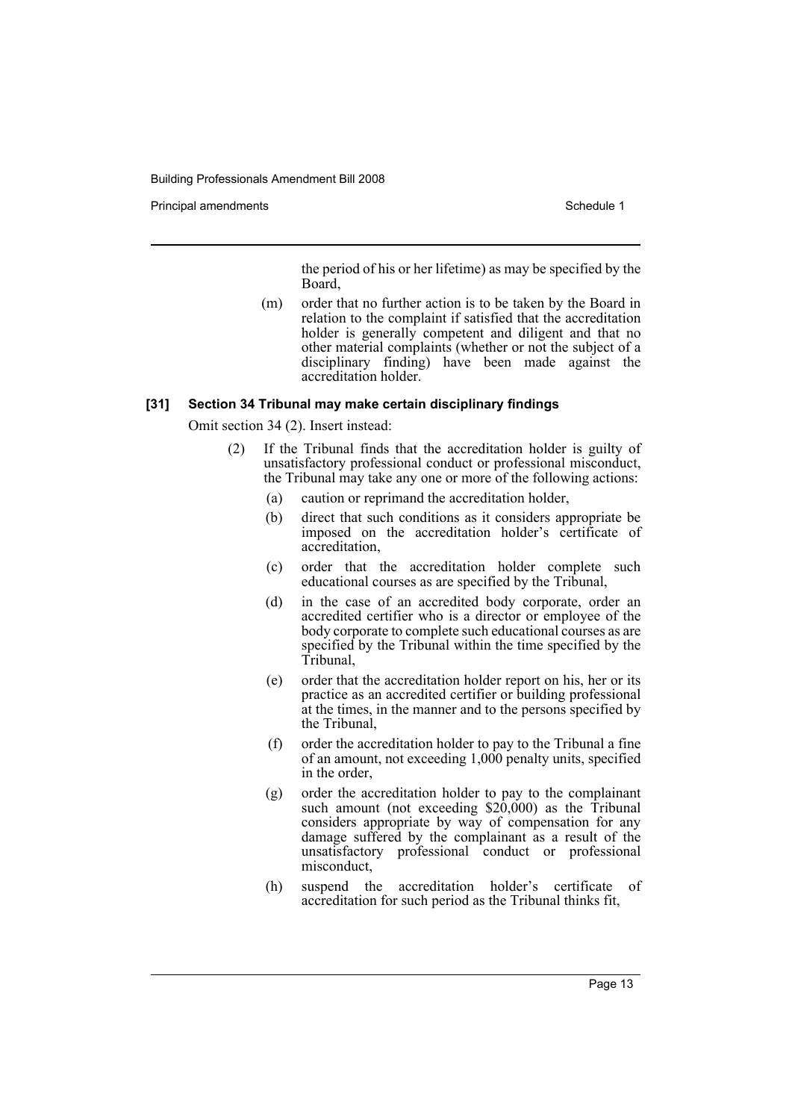Principal amendments **Schedule 1** and the set of the set of the Schedule 1 and the Schedule 1

the period of his or her lifetime) as may be specified by the Board,

(m) order that no further action is to be taken by the Board in relation to the complaint if satisfied that the accreditation holder is generally competent and diligent and that no other material complaints (whether or not the subject of a disciplinary finding) have been made against the accreditation holder.

#### **[31] Section 34 Tribunal may make certain disciplinary findings**

Omit section 34 (2). Insert instead:

- (2) If the Tribunal finds that the accreditation holder is guilty of unsatisfactory professional conduct or professional misconduct, the Tribunal may take any one or more of the following actions:
	- (a) caution or reprimand the accreditation holder,
	- (b) direct that such conditions as it considers appropriate be imposed on the accreditation holder's certificate of accreditation,
	- (c) order that the accreditation holder complete such educational courses as are specified by the Tribunal,
	- (d) in the case of an accredited body corporate, order an accredited certifier who is a director or employee of the body corporate to complete such educational courses as are specified by the Tribunal within the time specified by the Tribunal,
	- (e) order that the accreditation holder report on his, her or its practice as an accredited certifier or building professional at the times, in the manner and to the persons specified by the Tribunal,
	- (f) order the accreditation holder to pay to the Tribunal a fine of an amount, not exceeding 1,000 penalty units, specified in the order,
	- (g) order the accreditation holder to pay to the complainant such amount (not exceeding \$20,000) as the Tribunal considers appropriate by way of compensation for any damage suffered by the complainant as a result of the unsatisfactory professional conduct or professional misconduct,
	- (h) suspend the accreditation holder's certificate of accreditation for such period as the Tribunal thinks fit,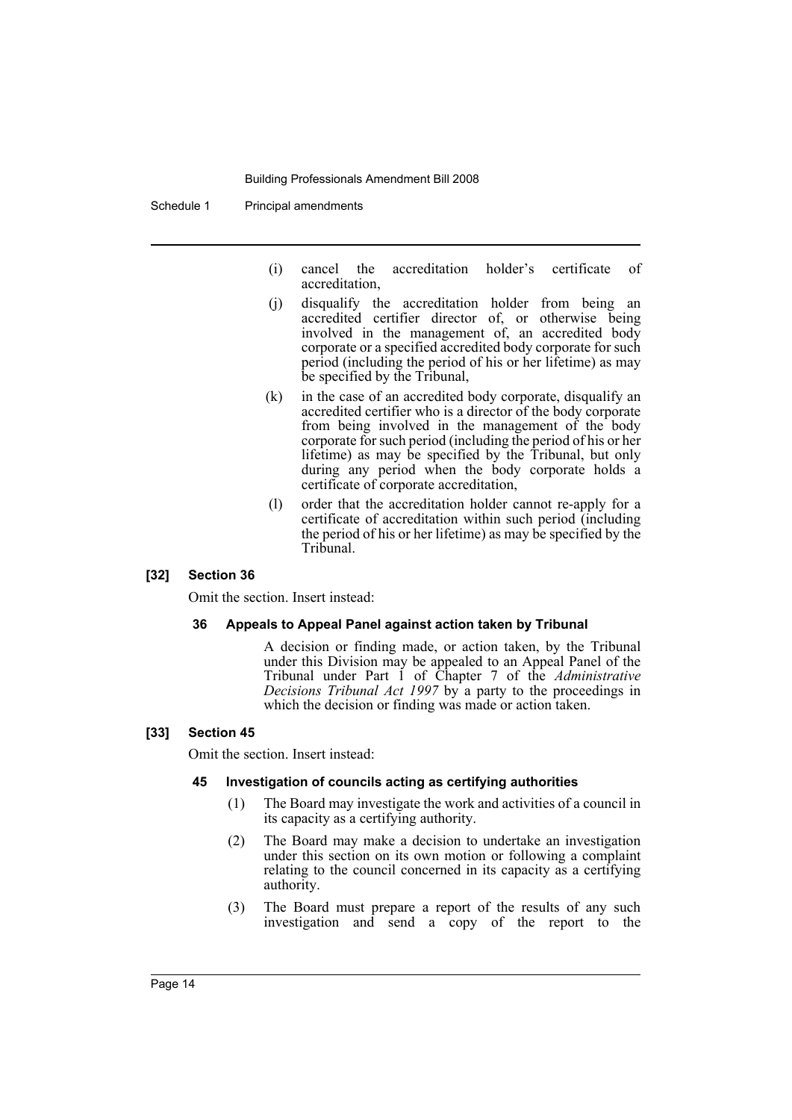Schedule 1 Principal amendments

- (i) cancel the accreditation holder's certificate of accreditation,
- (j) disqualify the accreditation holder from being an accredited certifier director of, or otherwise being involved in the management of, an accredited body corporate or a specified accredited body corporate for such period (including the period of his or her lifetime) as may be specified by the Tribunal,
- (k) in the case of an accredited body corporate, disqualify an accredited certifier who is a director of the body corporate from being involved in the management of the body corporate for such period (including the period of his or her lifetime) as may be specified by the Tribunal, but only during any period when the body corporate holds a certificate of corporate accreditation,
- (l) order that the accreditation holder cannot re-apply for a certificate of accreditation within such period (including the period of his or her lifetime) as may be specified by the Tribunal.

### **[32] Section 36**

Omit the section. Insert instead:

#### **36 Appeals to Appeal Panel against action taken by Tribunal**

A decision or finding made, or action taken, by the Tribunal under this Division may be appealed to an Appeal Panel of the Tribunal under Part 1 of Chapter 7 of the *Administrative Decisions Tribunal Act 1997* by a party to the proceedings in which the decision or finding was made or action taken.

#### **[33] Section 45**

Omit the section. Insert instead:

#### **45 Investigation of councils acting as certifying authorities**

- (1) The Board may investigate the work and activities of a council in its capacity as a certifying authority.
- (2) The Board may make a decision to undertake an investigation under this section on its own motion or following a complaint relating to the council concerned in its capacity as a certifying authority.
- (3) The Board must prepare a report of the results of any such investigation and send a copy of the report to the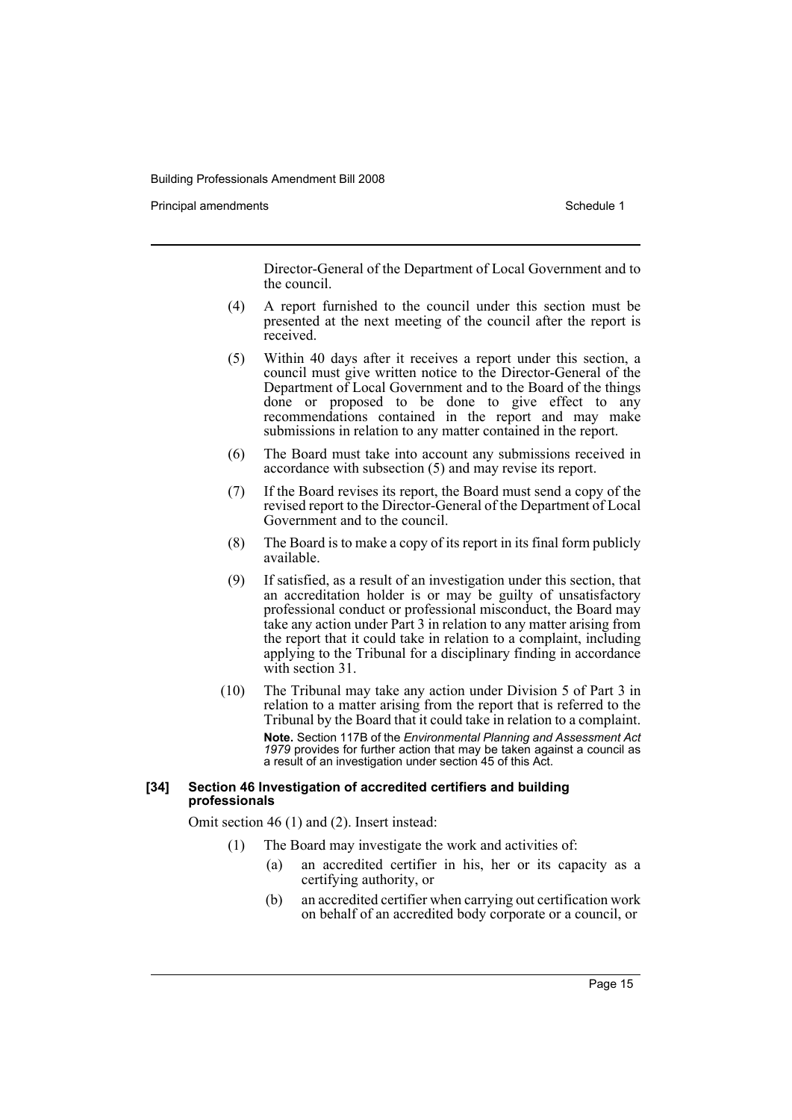Principal amendments **Schedule 1** and the set of the set of the Schedule 1 and the Schedule 1

Director-General of the Department of Local Government and to the council.

- (4) A report furnished to the council under this section must be presented at the next meeting of the council after the report is received.
- (5) Within 40 days after it receives a report under this section, a council must give written notice to the Director-General of the Department of Local Government and to the Board of the things done or proposed to be done to give effect to any recommendations contained in the report and may make submissions in relation to any matter contained in the report.
- (6) The Board must take into account any submissions received in accordance with subsection (5) and may revise its report.
- (7) If the Board revises its report, the Board must send a copy of the revised report to the Director-General of the Department of Local Government and to the council.
- (8) The Board is to make a copy of its report in its final form publicly available.
- (9) If satisfied, as a result of an investigation under this section, that an accreditation holder is or may be guilty of unsatisfactory professional conduct or professional misconduct, the Board may take any action under Part 3 in relation to any matter arising from the report that it could take in relation to a complaint, including applying to the Tribunal for a disciplinary finding in accordance with section 31.
- (10) The Tribunal may take any action under Division 5 of Part 3 in relation to a matter arising from the report that is referred to the Tribunal by the Board that it could take in relation to a complaint. **Note.** Section 117B of the *Environmental Planning and Assessment Act 1979* provides for further action that may be taken against a council as a result of an investigation under section 45 of this Act.

#### **[34] Section 46 Investigation of accredited certifiers and building professionals**

Omit section 46 (1) and (2). Insert instead:

- (1) The Board may investigate the work and activities of:
	- (a) an accredited certifier in his, her or its capacity as a certifying authority, or
	- (b) an accredited certifier when carrying out certification work on behalf of an accredited body corporate or a council, or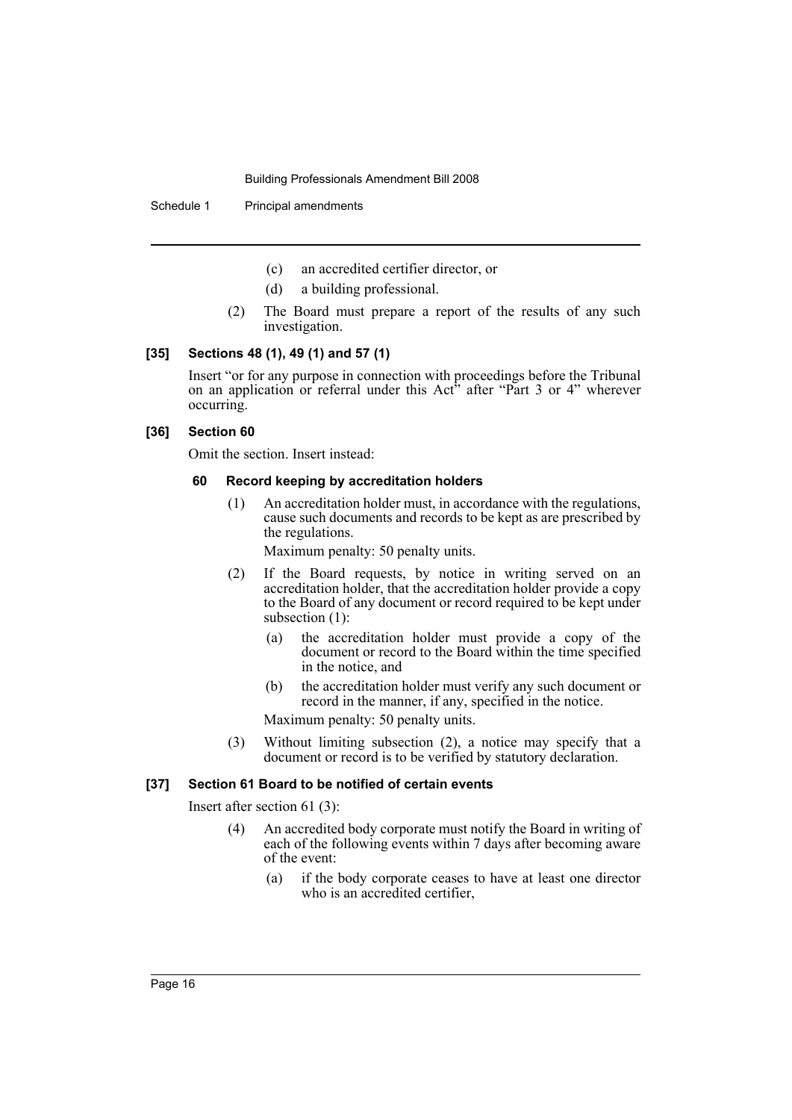Schedule 1 Principal amendments

- (c) an accredited certifier director, or
- (d) a building professional.
- (2) The Board must prepare a report of the results of any such investigation.

#### **[35] Sections 48 (1), 49 (1) and 57 (1)**

Insert "or for any purpose in connection with proceedings before the Tribunal on an application or referral under this Act<sup>5</sup> after "Part 3 or 4" wherever occurring.

### **[36] Section 60**

Omit the section. Insert instead:

### **60 Record keeping by accreditation holders**

(1) An accreditation holder must, in accordance with the regulations, cause such documents and records to be kept as are prescribed by the regulations.

Maximum penalty: 50 penalty units.

- (2) If the Board requests, by notice in writing served on an accreditation holder, that the accreditation holder provide a copy to the Board of any document or record required to be kept under subsection (1):
	- (a) the accreditation holder must provide a copy of the document or record to the Board within the time specified in the notice, and
	- (b) the accreditation holder must verify any such document or record in the manner, if any, specified in the notice.

Maximum penalty: 50 penalty units.

(3) Without limiting subsection (2), a notice may specify that a document or record is to be verified by statutory declaration.

#### **[37] Section 61 Board to be notified of certain events**

Insert after section 61 (3):

- (4) An accredited body corporate must notify the Board in writing of each of the following events within 7 days after becoming aware of the event:
	- (a) if the body corporate ceases to have at least one director who is an accredited certifier,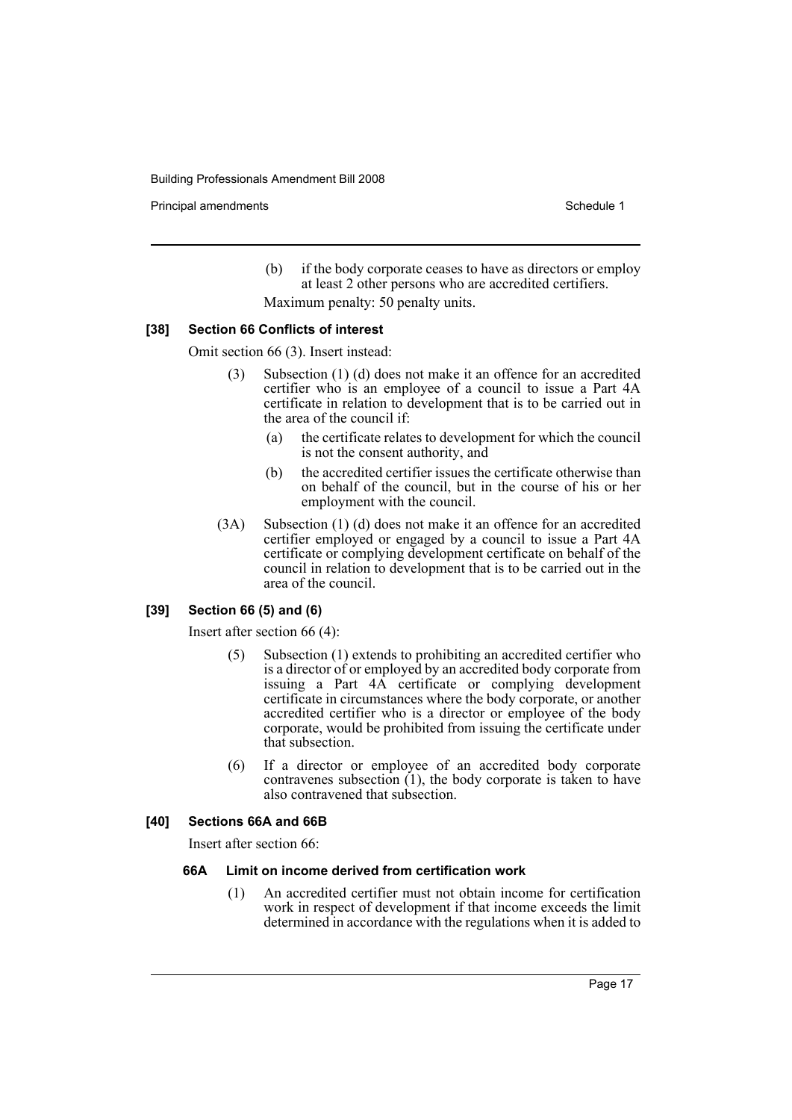Principal amendments **Schedule 1** and the set of the set of the Schedule 1 and the Schedule 1

- (b) if the body corporate ceases to have as directors or employ at least 2 other persons who are accredited certifiers.
- Maximum penalty: 50 penalty units.

### **[38] Section 66 Conflicts of interest**

Omit section 66 (3). Insert instead:

- (3) Subsection (1) (d) does not make it an offence for an accredited certifier who is an employee of a council to issue a Part 4A certificate in relation to development that is to be carried out in the area of the council if:
	- (a) the certificate relates to development for which the council is not the consent authority, and
	- (b) the accredited certifier issues the certificate otherwise than on behalf of the council, but in the course of his or her employment with the council.
- (3A) Subsection (1) (d) does not make it an offence for an accredited certifier employed or engaged by a council to issue a Part 4A certificate or complying development certificate on behalf of the council in relation to development that is to be carried out in the area of the council.

### **[39] Section 66 (5) and (6)**

Insert after section 66 (4):

- (5) Subsection (1) extends to prohibiting an accredited certifier who is a director of or employed by an accredited body corporate from issuing a Part 4A certificate or complying development certificate in circumstances where the body corporate, or another accredited certifier who is a director or employee of the body corporate, would be prohibited from issuing the certificate under that subsection.
- (6) If a director or employee of an accredited body corporate contravenes subsection (1), the body corporate is taken to have also contravened that subsection.

#### **[40] Sections 66A and 66B**

Insert after section 66:

#### **66A Limit on income derived from certification work**

(1) An accredited certifier must not obtain income for certification work in respect of development if that income exceeds the limit determined in accordance with the regulations when it is added to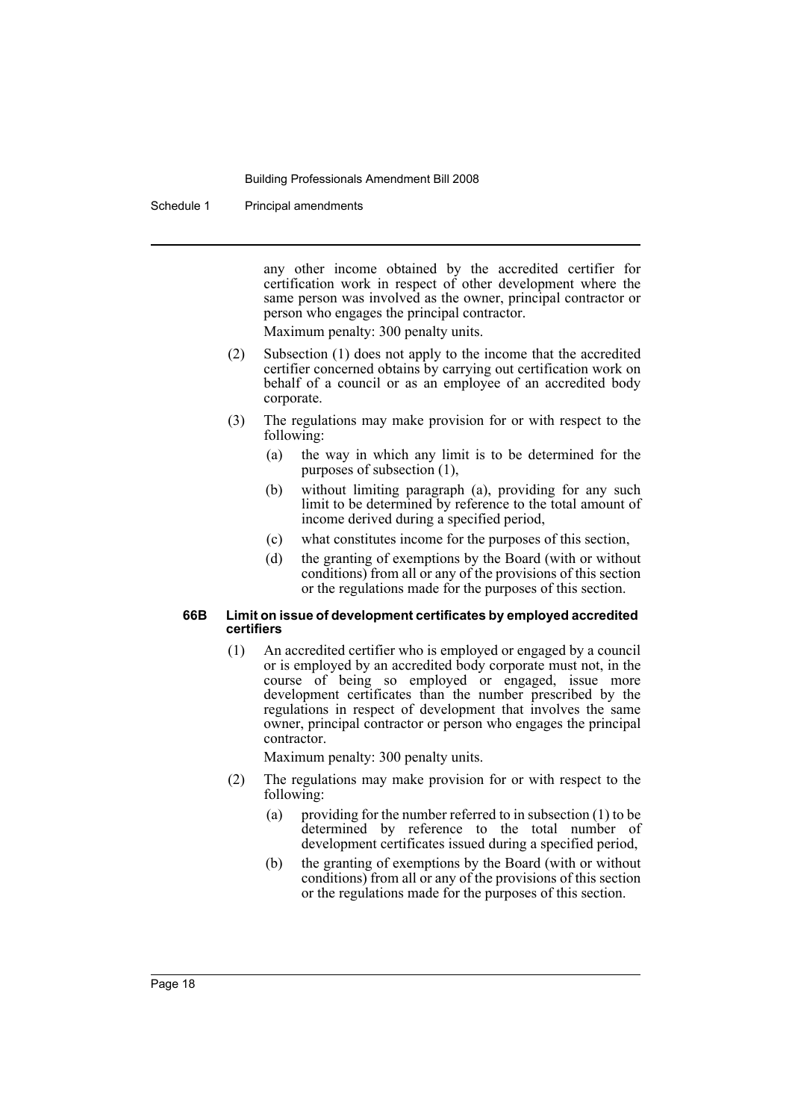Schedule 1 Principal amendments

any other income obtained by the accredited certifier for certification work in respect of other development where the same person was involved as the owner, principal contractor or person who engages the principal contractor.

Maximum penalty: 300 penalty units.

- (2) Subsection (1) does not apply to the income that the accredited certifier concerned obtains by carrying out certification work on behalf of a council or as an employee of an accredited body corporate.
- (3) The regulations may make provision for or with respect to the following:
	- (a) the way in which any limit is to be determined for the purposes of subsection (1),
	- (b) without limiting paragraph (a), providing for any such limit to be determined by reference to the total amount of income derived during a specified period,
	- (c) what constitutes income for the purposes of this section,
	- (d) the granting of exemptions by the Board (with or without conditions) from all or any of the provisions of this section or the regulations made for the purposes of this section.

#### **66B Limit on issue of development certificates by employed accredited certifiers**

(1) An accredited certifier who is employed or engaged by a council or is employed by an accredited body corporate must not, in the course of being so employed or engaged, issue more development certificates than the number prescribed by the regulations in respect of development that involves the same owner, principal contractor or person who engages the principal contractor.

Maximum penalty: 300 penalty units.

- (2) The regulations may make provision for or with respect to the following:
	- (a) providing for the number referred to in subsection (1) to be determined by reference to the total number of development certificates issued during a specified period,
	- (b) the granting of exemptions by the Board (with or without conditions) from all or any of the provisions of this section or the regulations made for the purposes of this section.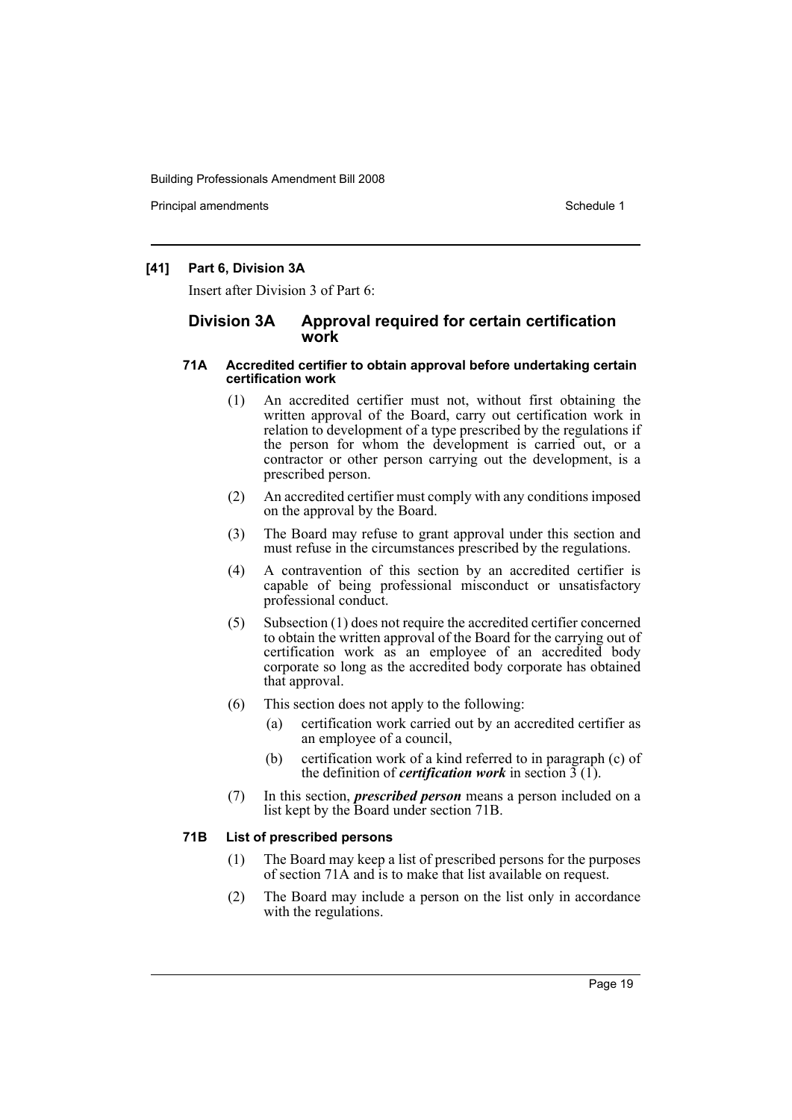Principal amendments **Schedule 1** and the set of the set of the Schedule 1 and the Schedule 1

### **[41] Part 6, Division 3A**

Insert after Division 3 of Part 6:

### **Division 3A Approval required for certain certification work**

### **71A Accredited certifier to obtain approval before undertaking certain certification work**

- (1) An accredited certifier must not, without first obtaining the written approval of the Board, carry out certification work in relation to development of a type prescribed by the regulations if the person for whom the development is carried out, or a contractor or other person carrying out the development, is a prescribed person.
- (2) An accredited certifier must comply with any conditions imposed on the approval by the Board.
- (3) The Board may refuse to grant approval under this section and must refuse in the circumstances prescribed by the regulations.
- (4) A contravention of this section by an accredited certifier is capable of being professional misconduct or unsatisfactory professional conduct.
- (5) Subsection (1) does not require the accredited certifier concerned to obtain the written approval of the Board for the carrying out of certification work as an employee of an accredited body corporate so long as the accredited body corporate has obtained that approval.
- (6) This section does not apply to the following:
	- (a) certification work carried out by an accredited certifier as an employee of a council,
	- (b) certification work of a kind referred to in paragraph (c) of the definition of *certification work* in section  $\overline{3}$  (1).
- (7) In this section, *prescribed person* means a person included on a list kept by the Board under section 71B.

### **71B List of prescribed persons**

- (1) The Board may keep a list of prescribed persons for the purposes of section 71A and is to make that list available on request.
- (2) The Board may include a person on the list only in accordance with the regulations.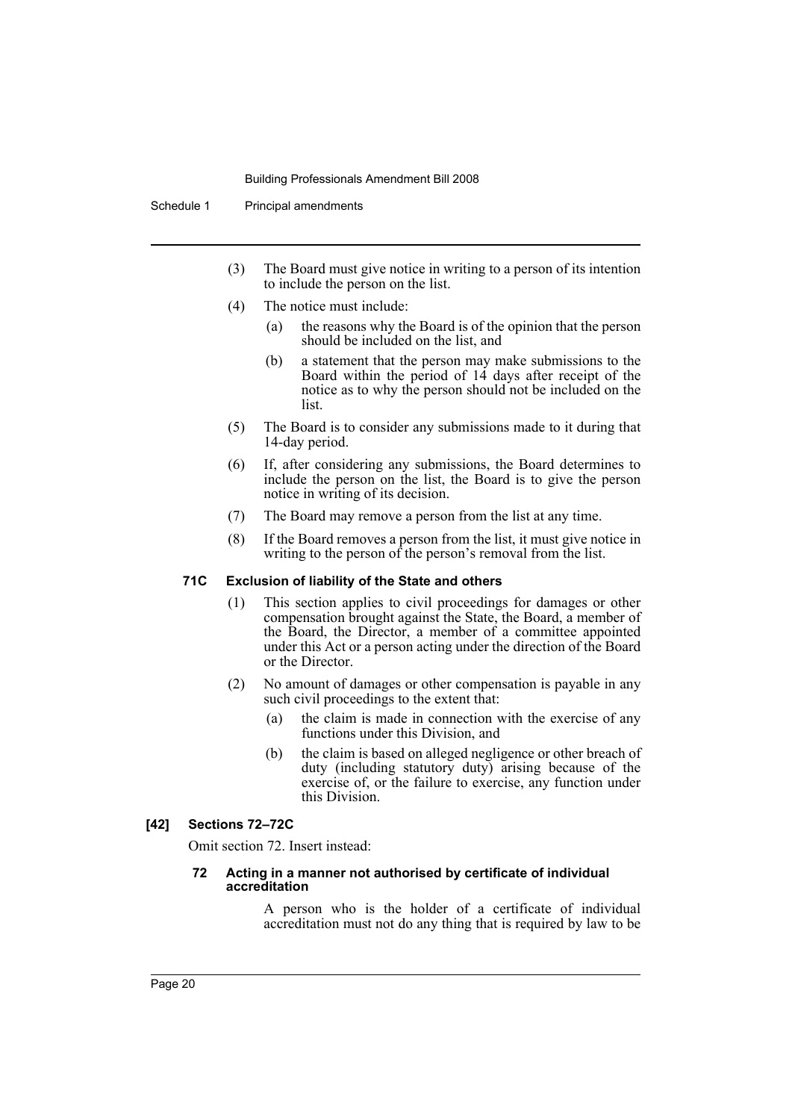Schedule 1 Principal amendments

- (3) The Board must give notice in writing to a person of its intention to include the person on the list.
- (4) The notice must include:
	- (a) the reasons why the Board is of the opinion that the person should be included on the list, and
	- (b) a statement that the person may make submissions to the Board within the period of 14 days after receipt of the notice as to why the person should not be included on the list.
- (5) The Board is to consider any submissions made to it during that 14-day period.
- (6) If, after considering any submissions, the Board determines to include the person on the list, the Board is to give the person notice in writing of its decision.
- (7) The Board may remove a person from the list at any time.
- (8) If the Board removes a person from the list, it must give notice in writing to the person of the person's removal from the list.

#### **71C Exclusion of liability of the State and others**

- (1) This section applies to civil proceedings for damages or other compensation brought against the State, the Board, a member of the Board, the Director, a member of a committee appointed under this Act or a person acting under the direction of the Board or the Director.
- (2) No amount of damages or other compensation is payable in any such civil proceedings to the extent that:
	- (a) the claim is made in connection with the exercise of any functions under this Division, and
	- (b) the claim is based on alleged negligence or other breach of duty (including statutory duty) arising because of the exercise of, or the failure to exercise, any function under this Division.

### **[42] Sections 72–72C**

Omit section 72. Insert instead:

#### **72 Acting in a manner not authorised by certificate of individual accreditation**

A person who is the holder of a certificate of individual accreditation must not do any thing that is required by law to be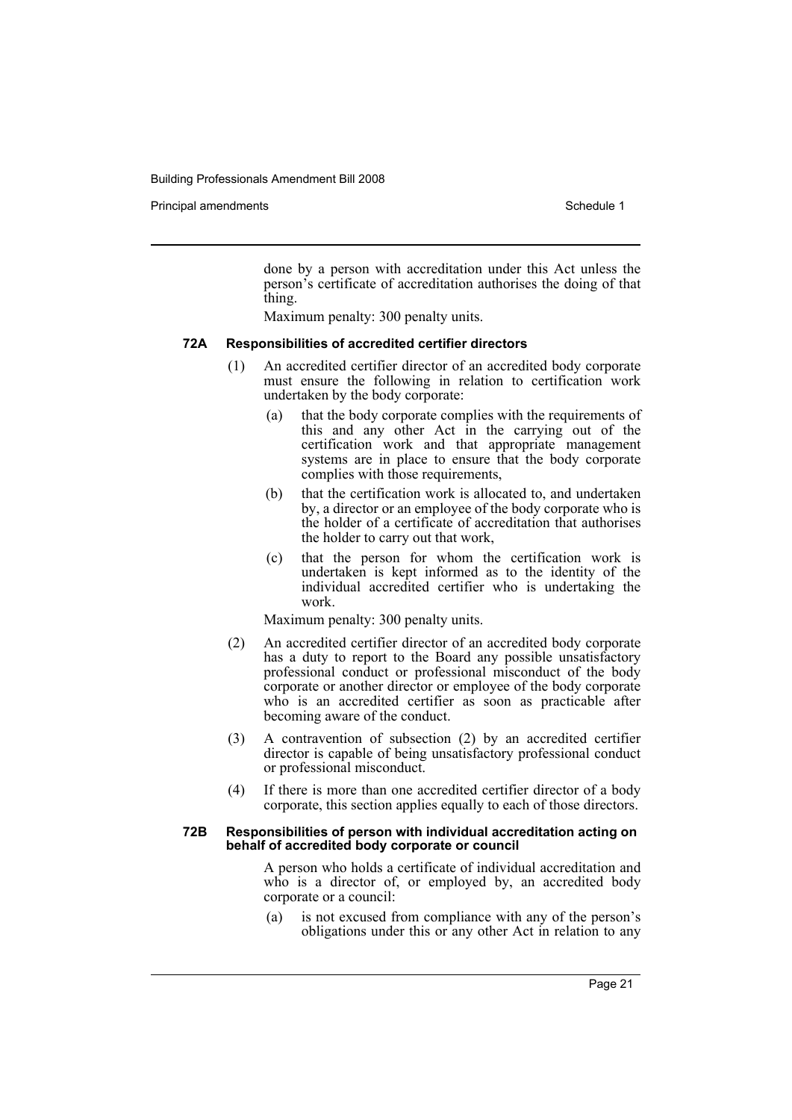Principal amendments **Schedule 1** and the set of the set of the Schedule 1 and the Schedule 1

done by a person with accreditation under this Act unless the person's certificate of accreditation authorises the doing of that thing.

Maximum penalty: 300 penalty units.

#### **72A Responsibilities of accredited certifier directors**

- (1) An accredited certifier director of an accredited body corporate must ensure the following in relation to certification work undertaken by the body corporate:
	- (a) that the body corporate complies with the requirements of this and any other Act in the carrying out of the certification work and that appropriate management systems are in place to ensure that the body corporate complies with those requirements,
	- (b) that the certification work is allocated to, and undertaken by, a director or an employee of the body corporate who is the holder of a certificate of accreditation that authorises the holder to carry out that work,
	- (c) that the person for whom the certification work is undertaken is kept informed as to the identity of the individual accredited certifier who is undertaking the work.

Maximum penalty: 300 penalty units.

- (2) An accredited certifier director of an accredited body corporate has a duty to report to the Board any possible unsatisfactory professional conduct or professional misconduct of the body corporate or another director or employee of the body corporate who is an accredited certifier as soon as practicable after becoming aware of the conduct.
- (3) A contravention of subsection (2) by an accredited certifier director is capable of being unsatisfactory professional conduct or professional misconduct.
- (4) If there is more than one accredited certifier director of a body corporate, this section applies equally to each of those directors.

#### **72B Responsibilities of person with individual accreditation acting on behalf of accredited body corporate or council**

A person who holds a certificate of individual accreditation and who is a director of, or employed by, an accredited body corporate or a council:

(a) is not excused from compliance with any of the person's obligations under this or any other Act in relation to any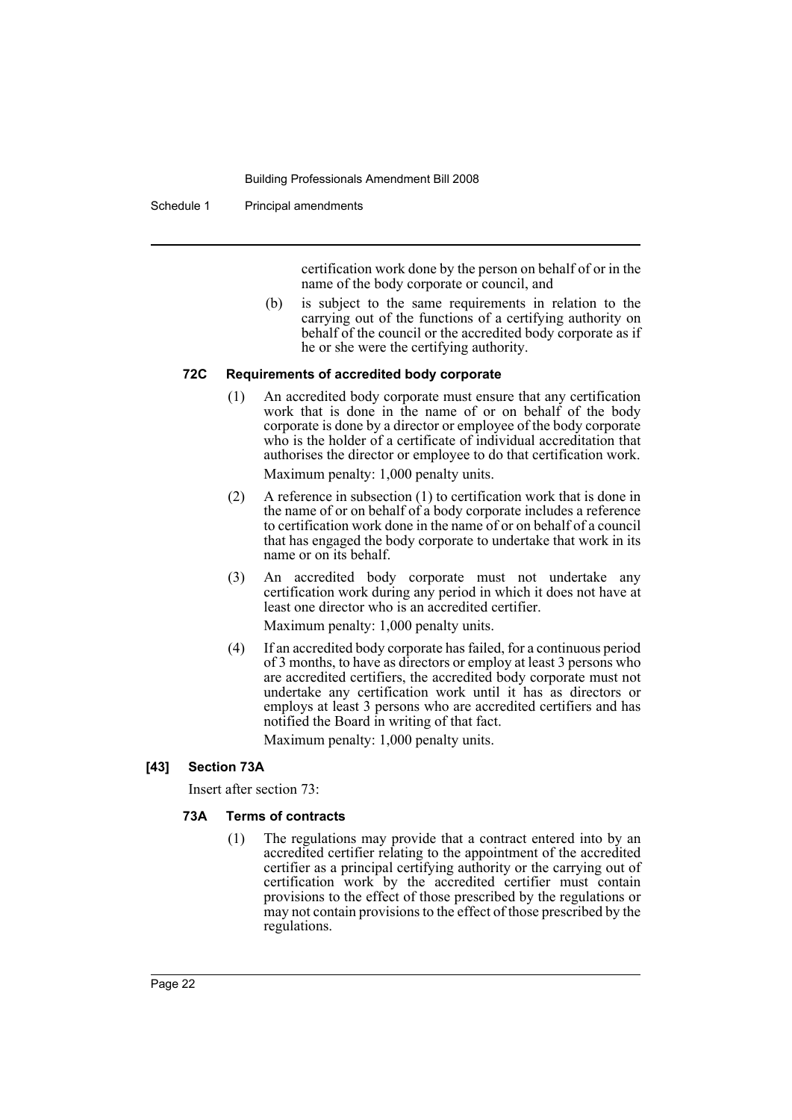Schedule 1 Principal amendments

certification work done by the person on behalf of or in the name of the body corporate or council, and

(b) is subject to the same requirements in relation to the carrying out of the functions of a certifying authority on behalf of the council or the accredited body corporate as if he or she were the certifying authority.

### **72C Requirements of accredited body corporate**

- (1) An accredited body corporate must ensure that any certification work that is done in the name of or on behalf of the body corporate is done by a director or employee of the body corporate who is the holder of a certificate of individual accreditation that authorises the director or employee to do that certification work. Maximum penalty: 1,000 penalty units.
- (2) A reference in subsection (1) to certification work that is done in the name of or on behalf of a body corporate includes a reference to certification work done in the name of or on behalf of a council that has engaged the body corporate to undertake that work in its name or on its behalf.
- (3) An accredited body corporate must not undertake any certification work during any period in which it does not have at least one director who is an accredited certifier.

Maximum penalty: 1,000 penalty units.

(4) If an accredited body corporate has failed, for a continuous period of 3 months, to have as directors or employ at least 3 persons who are accredited certifiers, the accredited body corporate must not undertake any certification work until it has as directors or employs at least 3 persons who are accredited certifiers and has notified the Board in writing of that fact.

Maximum penalty: 1,000 penalty units.

### **[43] Section 73A**

Insert after section 73:

### **73A Terms of contracts**

(1) The regulations may provide that a contract entered into by an accredited certifier relating to the appointment of the accredited certifier as a principal certifying authority or the carrying out of certification work by the accredited certifier must contain provisions to the effect of those prescribed by the regulations or may not contain provisions to the effect of those prescribed by the regulations.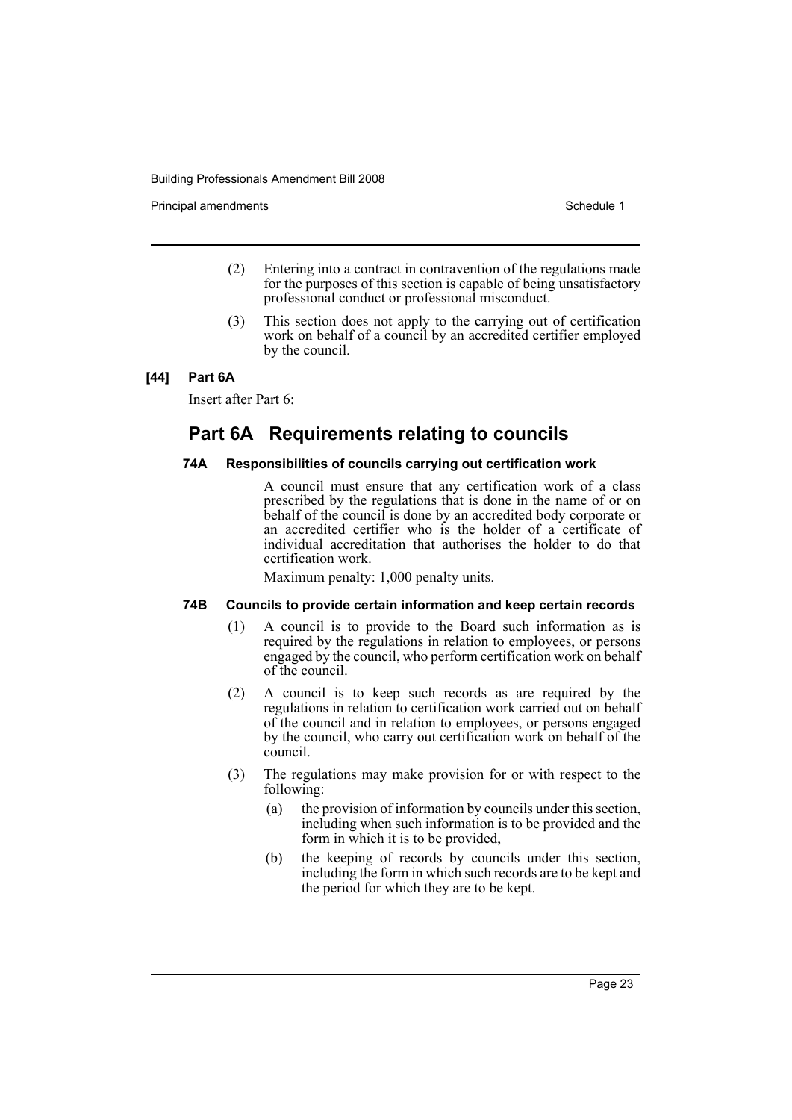Principal amendments **Schedule 1** and the set of the set of the Schedule 1 and the Schedule 1

- (2) Entering into a contract in contravention of the regulations made for the purposes of this section is capable of being unsatisfactory professional conduct or professional misconduct.
- (3) This section does not apply to the carrying out of certification work on behalf of a council by an accredited certifier employed by the council.

### **[44] Part 6A**

Insert after Part 6:

# **Part 6A Requirements relating to councils**

### **74A Responsibilities of councils carrying out certification work**

A council must ensure that any certification work of a class prescribed by the regulations that is done in the name of or on behalf of the council is done by an accredited body corporate or an accredited certifier who is the holder of a certificate of individual accreditation that authorises the holder to do that certification work.

Maximum penalty: 1,000 penalty units.

### **74B Councils to provide certain information and keep certain records**

- (1) A council is to provide to the Board such information as is required by the regulations in relation to employees, or persons engaged by the council, who perform certification work on behalf of the council.
- (2) A council is to keep such records as are required by the regulations in relation to certification work carried out on behalf of the council and in relation to employees, or persons engaged by the council, who carry out certification work on behalf of the council.
- (3) The regulations may make provision for or with respect to the following:
	- (a) the provision of information by councils under this section, including when such information is to be provided and the form in which it is to be provided,
	- (b) the keeping of records by councils under this section, including the form in which such records are to be kept and the period for which they are to be kept.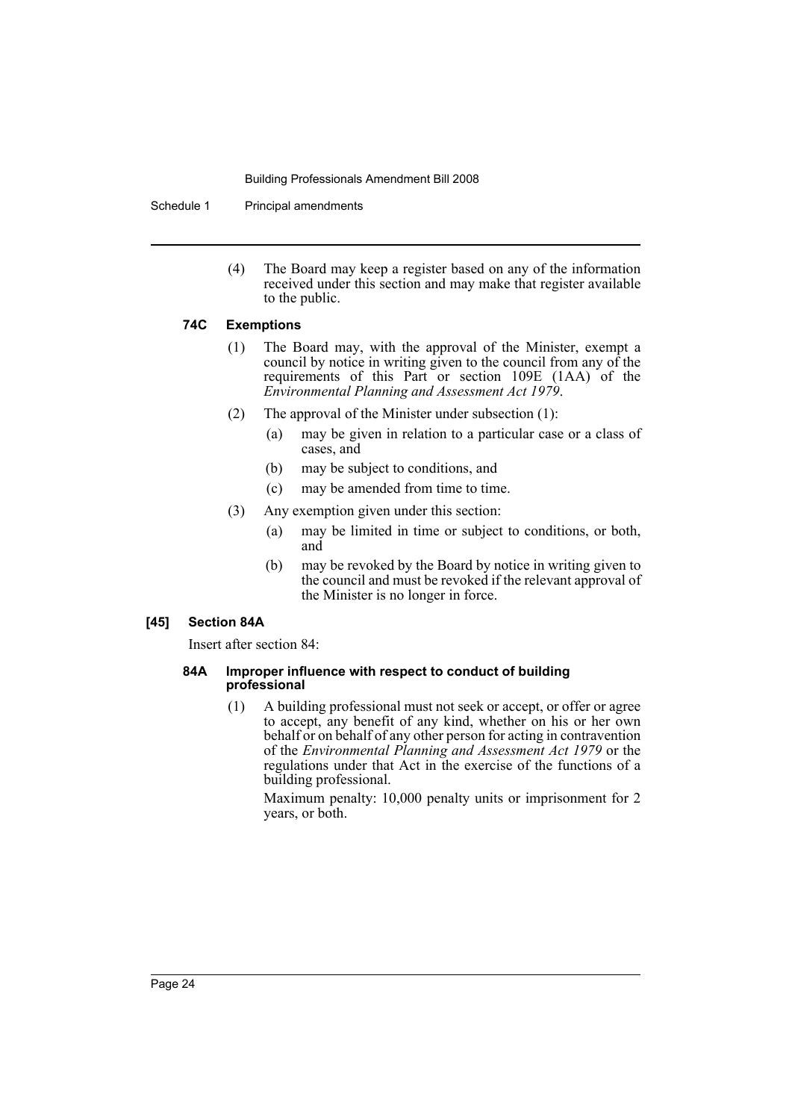Schedule 1 Principal amendments

(4) The Board may keep a register based on any of the information received under this section and may make that register available to the public.

### **74C Exemptions**

- (1) The Board may, with the approval of the Minister, exempt a council by notice in writing given to the council from any of the requirements of this Part or section 109E (1AA) of the *Environmental Planning and Assessment Act 1979*.
- (2) The approval of the Minister under subsection (1):
	- (a) may be given in relation to a particular case or a class of cases, and
	- (b) may be subject to conditions, and
	- (c) may be amended from time to time.
- (3) Any exemption given under this section:
	- (a) may be limited in time or subject to conditions, or both, and
	- (b) may be revoked by the Board by notice in writing given to the council and must be revoked if the relevant approval of the Minister is no longer in force.

### **[45] Section 84A**

Insert after section 84:

### **84A Improper influence with respect to conduct of building professional**

(1) A building professional must not seek or accept, or offer or agree to accept, any benefit of any kind, whether on his or her own behalf or on behalf of any other person for acting in contravention of the *Environmental Planning and Assessment Act 1979* or the regulations under that Act in the exercise of the functions of a building professional.

Maximum penalty: 10,000 penalty units or imprisonment for 2 years, or both.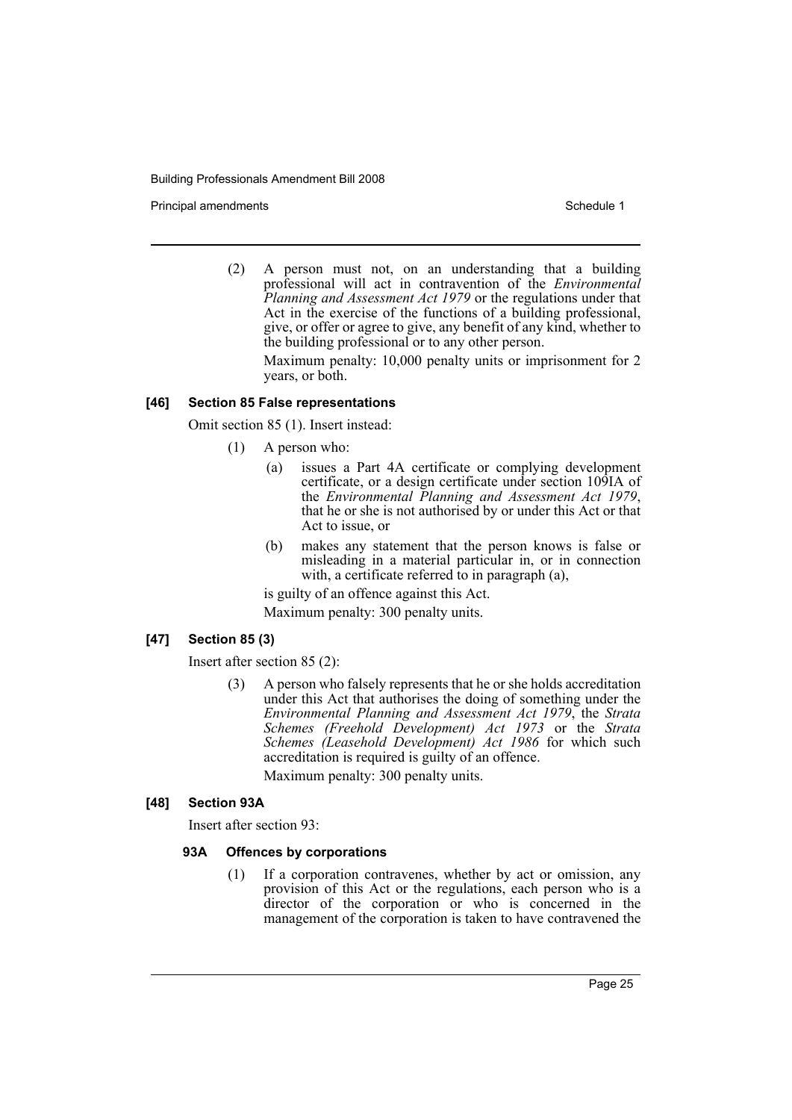Principal amendments **Schedule 1** and the set of the set of the Schedule 1 and the Schedule 1

(2) A person must not, on an understanding that a building professional will act in contravention of the *Environmental Planning and Assessment Act 1979* or the regulations under that Act in the exercise of the functions of a building professional, give, or offer or agree to give, any benefit of any kind, whether to the building professional or to any other person.

Maximum penalty: 10,000 penalty units or imprisonment for 2 years, or both.

### **[46] Section 85 False representations**

Omit section 85 (1). Insert instead:

- (1) A person who:
	- (a) issues a Part 4A certificate or complying development certificate, or a design certificate under section 109IA of the *Environmental Planning and Assessment Act 1979*, that he or she is not authorised by or under this Act or that Act to issue, or
	- (b) makes any statement that the person knows is false or misleading in a material particular in, or in connection with, a certificate referred to in paragraph (a),

is guilty of an offence against this Act.

Maximum penalty: 300 penalty units.

### **[47] Section 85 (3)**

Insert after section 85 (2):

(3) A person who falsely represents that he or she holds accreditation under this Act that authorises the doing of something under the *Environmental Planning and Assessment Act 1979*, the *Strata Schemes (Freehold Development) Act 1973* or the *Strata Schemes (Leasehold Development) Act 1986* for which such accreditation is required is guilty of an offence.

Maximum penalty: 300 penalty units.

### **[48] Section 93A**

Insert after section 93:

### **93A Offences by corporations**

(1) If a corporation contravenes, whether by act or omission, any provision of this Act or the regulations, each person who is a director of the corporation or who is concerned in the management of the corporation is taken to have contravened the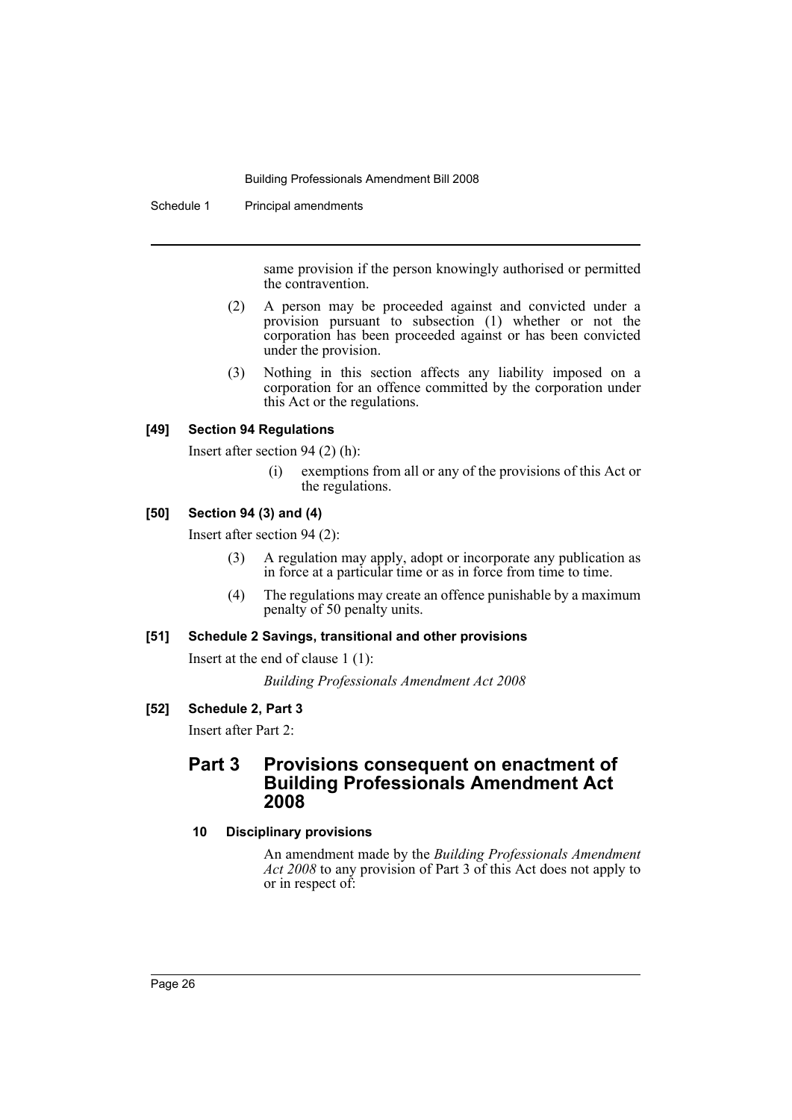Schedule 1 Principal amendments

same provision if the person knowingly authorised or permitted the contravention.

- (2) A person may be proceeded against and convicted under a provision pursuant to subsection (1) whether or not the corporation has been proceeded against or has been convicted under the provision.
- (3) Nothing in this section affects any liability imposed on a corporation for an offence committed by the corporation under this Act or the regulations.

### **[49] Section 94 Regulations**

Insert after section 94 (2) (h):

(i) exemptions from all or any of the provisions of this Act or the regulations.

### **[50] Section 94 (3) and (4)**

Insert after section 94 (2):

- (3) A regulation may apply, adopt or incorporate any publication as in force at a particular time or as in force from time to time.
- (4) The regulations may create an offence punishable by a maximum penalty of 50 penalty units.

### **[51] Schedule 2 Savings, transitional and other provisions**

Insert at the end of clause 1 (1):

*Building Professionals Amendment Act 2008*

### **[52] Schedule 2, Part 3**

Insert after Part 2:

## **Part 3 Provisions consequent on enactment of Building Professionals Amendment Act 2008**

### **10 Disciplinary provisions**

An amendment made by the *Building Professionals Amendment Act 2008* to any provision of Part 3 of this Act does not apply to or in respect of: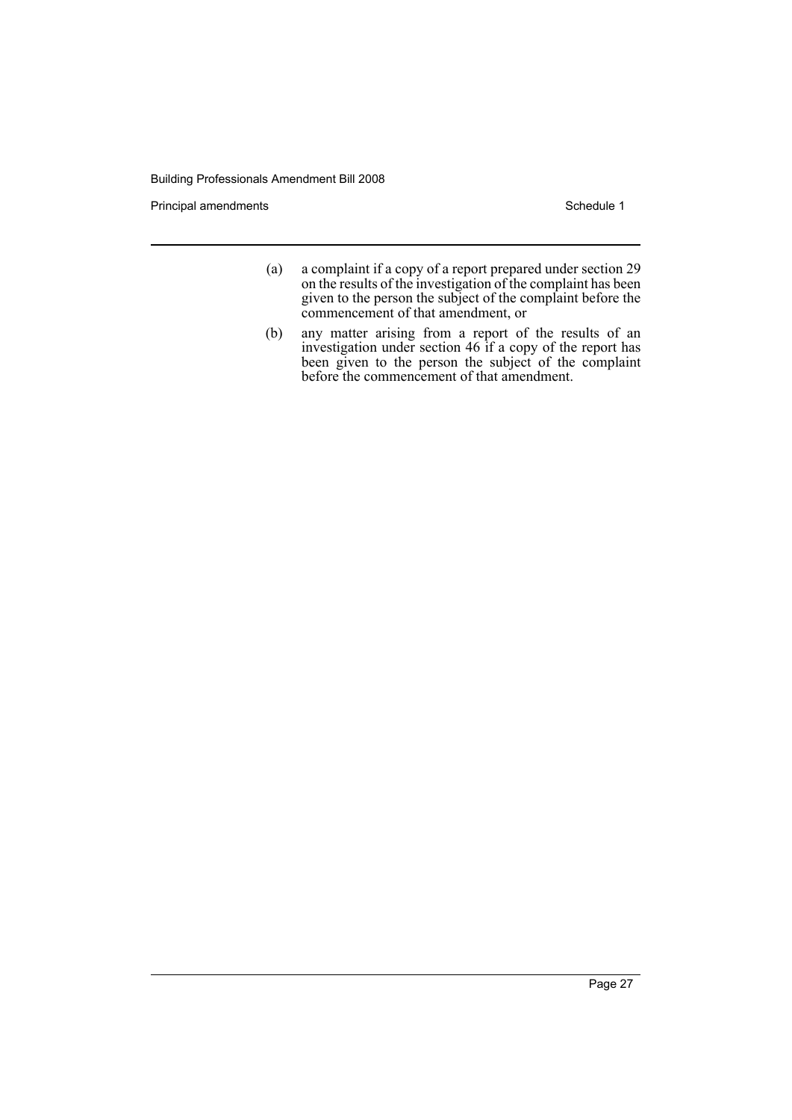Principal amendments **Schedule 1** Schedule 1

- (a) a complaint if a copy of a report prepared under section 29 on the results of the investigation of the complaint has been given to the person the subject of the complaint before the commencement of that amendment, or
- (b) any matter arising from a report of the results of an investigation under section 46 if a copy of the report has been given to the person the subject of the complaint before the commencement of that amendment.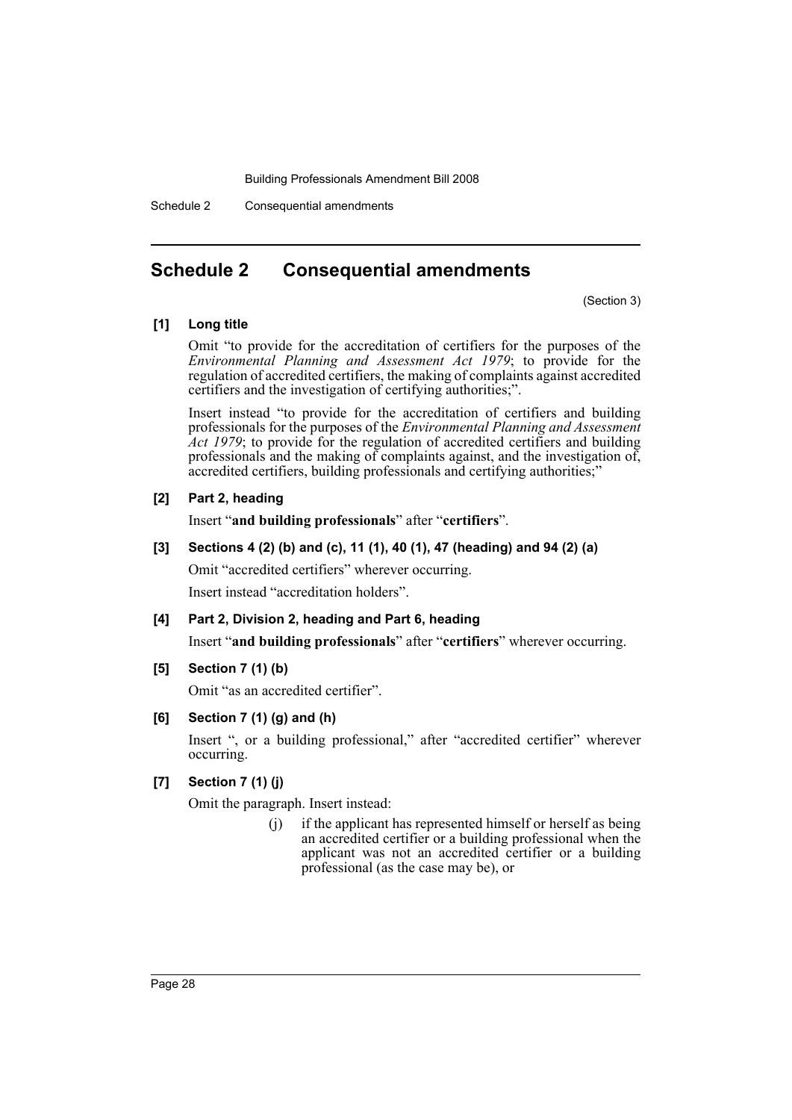Schedule 2 Consequential amendments

## <span id="page-28-0"></span>**Schedule 2 Consequential amendments**

(Section 3)

### **[1] Long title**

Omit "to provide for the accreditation of certifiers for the purposes of the *Environmental Planning and Assessment Act 1979*; to provide for the regulation of accredited certifiers, the making of complaints against accredited certifiers and the investigation of certifying authorities;".

Insert instead "to provide for the accreditation of certifiers and building professionals for the purposes of the *Environmental Planning and Assessment Act 1979*; to provide for the regulation of accredited certifiers and building professionals and the making of complaints against, and the investigation of, accredited certifiers, building professionals and certifying authorities;"

### **[2] Part 2, heading**

Insert "**and building professionals**" after "**certifiers**".

### **[3] Sections 4 (2) (b) and (c), 11 (1), 40 (1), 47 (heading) and 94 (2) (a)**

Omit "accredited certifiers" wherever occurring.

Insert instead "accreditation holders".

### **[4] Part 2, Division 2, heading and Part 6, heading**

Insert "**and building professionals**" after "**certifiers**" wherever occurring.

**[5] Section 7 (1) (b)**

Omit "as an accredited certifier".

### **[6] Section 7 (1) (g) and (h)**

Insert ", or a building professional," after "accredited certifier" wherever occurring.

### **[7] Section 7 (1) (j)**

Omit the paragraph. Insert instead:

(j) if the applicant has represented himself or herself as being an accredited certifier or a building professional when the applicant was not an accredited certifier or a building professional (as the case may be), or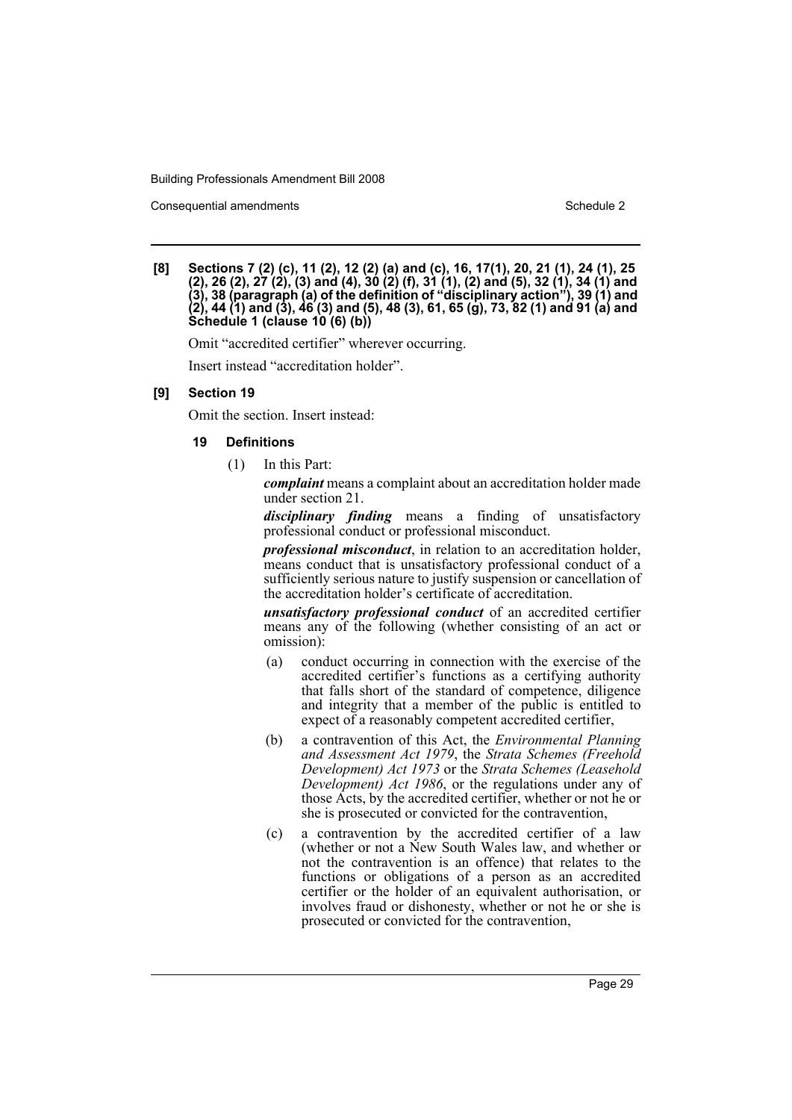Consequential amendments **Schedule 2** and 3 and 3 and 3 and 3 and 3 and 3 and 3 and 3 and 3 and 3 and 3 and 3 and 3 and 3 and 3 and 3 and 3 and 3 and 3 and 3 and 3 and 3 and 3 and 3 and 3 and 3 and 3 and 3 and 3 and 3 and

**[8] Sections 7 (2) (c), 11 (2), 12 (2) (a) and (c), 16, 17(1), 20, 21 (1), 24 (1), 25 (2), 26 (2), 27 (2), (3) and (4), 30 (2) (f), 31 (1), (2) and (5), 32 (1), 34 (1) and (3), 38 (paragraph (a) of the definition of "disciplinary action"), 39 (1) and (2), 44 (1) and (3), 46 (3) and (5), 48 (3), 61, 65 (g), 73, 82 (1) and 91 (a) and Schedule 1 (clause 10 (6) (b))**

Omit "accredited certifier" wherever occurring.

Insert instead "accreditation holder".

### **[9] Section 19**

Omit the section. Insert instead:

### **19 Definitions**

(1) In this Part:

*complaint* means a complaint about an accreditation holder made under section 21.

*disciplinary finding* means a finding of unsatisfactory professional conduct or professional misconduct.

*professional misconduct*, in relation to an accreditation holder, means conduct that is unsatisfactory professional conduct of a sufficiently serious nature to justify suspension or cancellation of the accreditation holder's certificate of accreditation.

*unsatisfactory professional conduct* of an accredited certifier means any of the following (whether consisting of an act or omission):

- (a) conduct occurring in connection with the exercise of the accredited certifier's functions as a certifying authority that falls short of the standard of competence, diligence and integrity that a member of the public is entitled to expect of a reasonably competent accredited certifier,
- (b) a contravention of this Act, the *Environmental Planning and Assessment Act 1979*, the *Strata Schemes (Freehold Development) Act 1973* or the *Strata Schemes (Leasehold Development) Act 1986*, or the regulations under any of those Acts, by the accredited certifier, whether or not he or she is prosecuted or convicted for the contravention,
- (c) a contravention by the accredited certifier of a law (whether or not a New South Wales law, and whether or not the contravention is an offence) that relates to the functions or obligations of a person as an accredited certifier or the holder of an equivalent authorisation, or involves fraud or dishonesty, whether or not he or she is prosecuted or convicted for the contravention,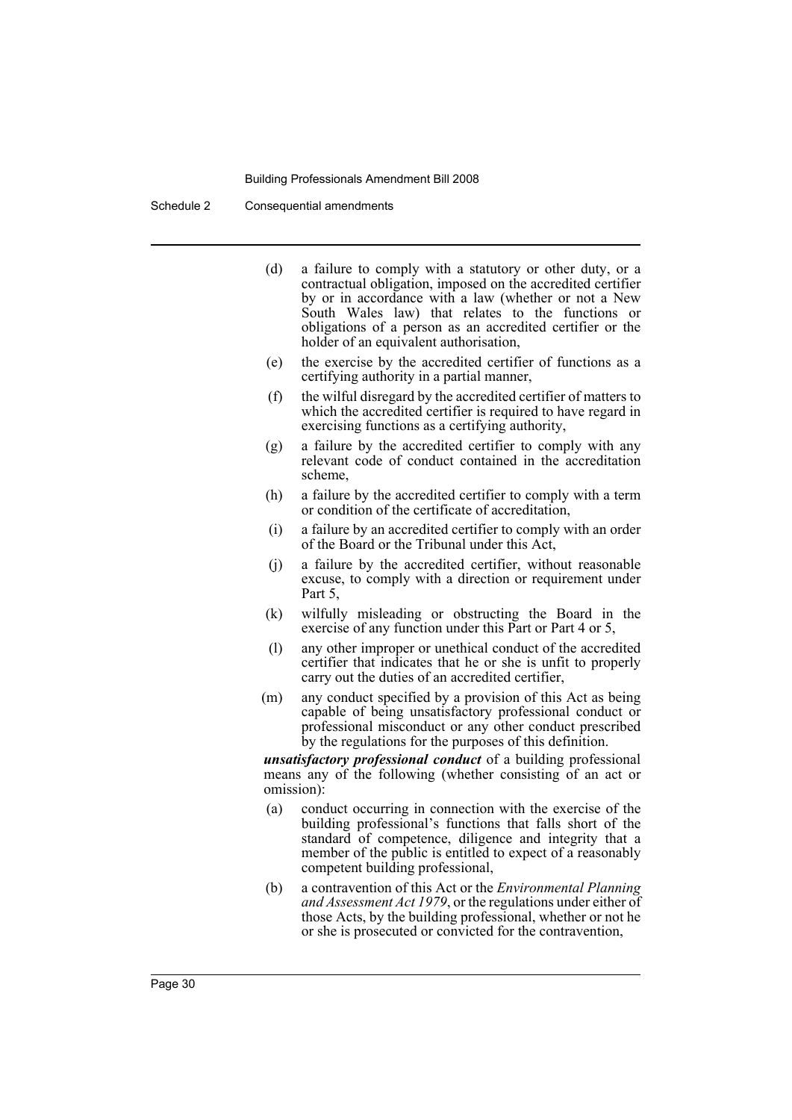Schedule 2 Consequential amendments

- (d) a failure to comply with a statutory or other duty, or a contractual obligation, imposed on the accredited certifier by or in accordance with a law (whether or not a New South Wales law) that relates to the functions or obligations of a person as an accredited certifier or the holder of an equivalent authorisation,
- (e) the exercise by the accredited certifier of functions as a certifying authority in a partial manner,
- (f) the wilful disregard by the accredited certifier of matters to which the accredited certifier is required to have regard in exercising functions as a certifying authority,
- (g) a failure by the accredited certifier to comply with any relevant code of conduct contained in the accreditation scheme,
- (h) a failure by the accredited certifier to comply with a term or condition of the certificate of accreditation,
- (i) a failure by an accredited certifier to comply with an order of the Board or the Tribunal under this Act,
- (j) a failure by the accredited certifier, without reasonable excuse, to comply with a direction or requirement under Part 5.
- (k) wilfully misleading or obstructing the Board in the exercise of any function under this Part or Part 4 or 5,
- (l) any other improper or unethical conduct of the accredited certifier that indicates that he or she is unfit to properly carry out the duties of an accredited certifier,
- (m) any conduct specified by a provision of this Act as being capable of being unsatisfactory professional conduct or professional misconduct or any other conduct prescribed by the regulations for the purposes of this definition.

*unsatisfactory professional conduct* of a building professional means any of the following (whether consisting of an act or omission):

- (a) conduct occurring in connection with the exercise of the building professional's functions that falls short of the standard of competence, diligence and integrity that a member of the public is entitled to expect of a reasonably competent building professional,
- (b) a contravention of this Act or the *Environmental Planning and Assessment Act 1979*, or the regulations under either of those Acts, by the building professional, whether or not he or she is prosecuted or convicted for the contravention,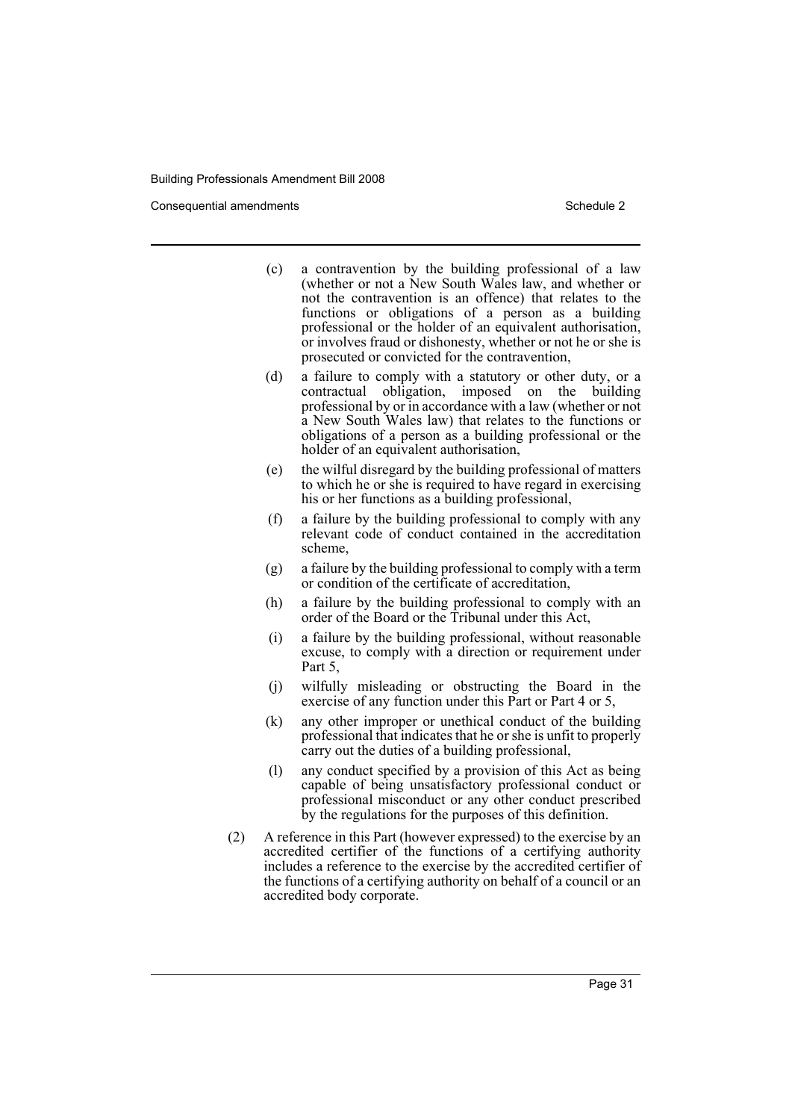Consequential amendments **Schedule 2** and 3 and 3 and 3 and 3 and 3 and 3 and 3 and 3 and 3 and 3 and 3 and 3 and 3 and 3 and 3 and 3 and 3 and 3 and 3 and 3 and 3 and 3 and 3 and 3 and 3 and 3 and 3 and 3 and 3 and 3 and

- (c) a contravention by the building professional of a law (whether or not a New South Wales law, and whether or not the contravention is an offence) that relates to the functions or obligations of a person as a building professional or the holder of an equivalent authorisation, or involves fraud or dishonesty, whether or not he or she is prosecuted or convicted for the contravention,
- (d) a failure to comply with a statutory or other duty, or a contractual obligation, imposed on the building professional by or in accordance with a law (whether or not a New South Wales law) that relates to the functions or obligations of a person as a building professional or the holder of an equivalent authorisation,
- (e) the wilful disregard by the building professional of matters to which he or she is required to have regard in exercising his or her functions as a building professional,
- (f) a failure by the building professional to comply with any relevant code of conduct contained in the accreditation scheme,
- (g) a failure by the building professional to comply with a term or condition of the certificate of accreditation,
- (h) a failure by the building professional to comply with an order of the Board or the Tribunal under this Act,
- (i) a failure by the building professional, without reasonable excuse, to comply with a direction or requirement under Part 5,
- (j) wilfully misleading or obstructing the Board in the exercise of any function under this Part or Part 4 or 5,
- (k) any other improper or unethical conduct of the building professional that indicates that he or she is unfit to properly carry out the duties of a building professional,
- (l) any conduct specified by a provision of this Act as being capable of being unsatisfactory professional conduct or professional misconduct or any other conduct prescribed by the regulations for the purposes of this definition.
- (2) A reference in this Part (however expressed) to the exercise by an accredited certifier of the functions of a certifying authority includes a reference to the exercise by the accredited certifier of the functions of a certifying authority on behalf of a council or an accredited body corporate.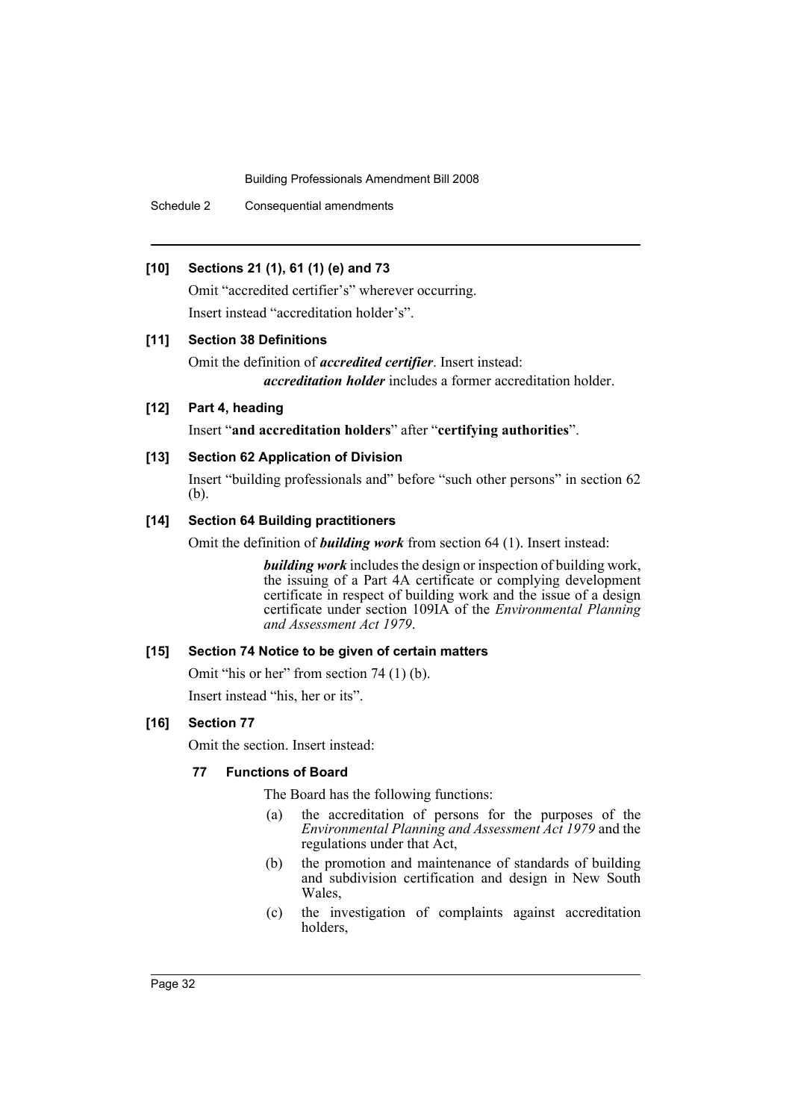Schedule 2 Consequential amendments

### **[10] Sections 21 (1), 61 (1) (e) and 73**

Omit "accredited certifier's" wherever occurring. Insert instead "accreditation holder's".

### **[11] Section 38 Definitions**

Omit the definition of *accredited certifier*. Insert instead: *accreditation holder* includes a former accreditation holder.

### **[12] Part 4, heading**

Insert "**and accreditation holders**" after "**certifying authorities**".

### **[13] Section 62 Application of Division**

Insert "building professionals and" before "such other persons" in section 62 (b).

### **[14] Section 64 Building practitioners**

Omit the definition of *building work* from section 64 (1). Insert instead:

*building work* includes the design or inspection of building work, the issuing of a Part 4A certificate or complying development certificate in respect of building work and the issue of a design certificate under section 109IA of the *Environmental Planning and Assessment Act 1979*.

### **[15] Section 74 Notice to be given of certain matters**

Omit "his or her" from section 74 (1) (b).

Insert instead "his, her or its".

### **[16] Section 77**

Omit the section. Insert instead:

### **77 Functions of Board**

The Board has the following functions:

- (a) the accreditation of persons for the purposes of the *Environmental Planning and Assessment Act 1979* and the regulations under that Act,
- (b) the promotion and maintenance of standards of building and subdivision certification and design in New South Wales,
- (c) the investigation of complaints against accreditation holders,